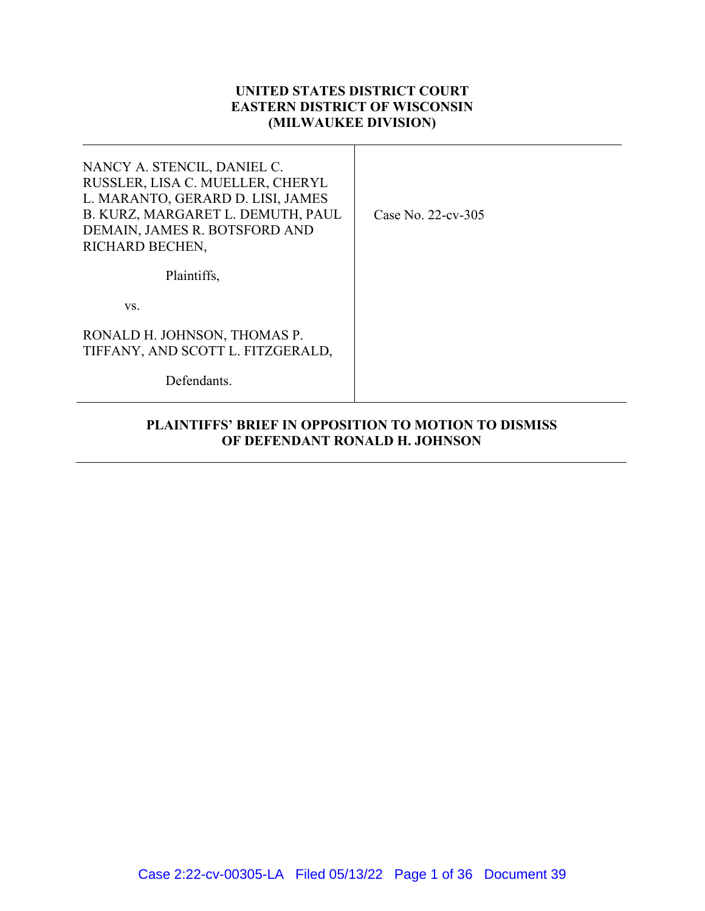# **UNITED STATES DISTRICT COURT EASTERN DISTRICT OF WISCONSIN (MILWAUKEE DIVISION)**

Τ

| NANCY A. STENCIL, DANIEL C.<br>RUSSLER, LISA C. MUELLER, CHERYL<br>L. MARANTO, GERARD D. LISI, JAMES<br>B. KURZ, MARGARET L. DEMUTH, PAUL<br>DEMAIN, JAMES R. BOTSFORD AND<br>RICHARD BECHEN, | Case No. $22$ -cv-305 |
|-----------------------------------------------------------------------------------------------------------------------------------------------------------------------------------------------|-----------------------|
| Plaintiffs,                                                                                                                                                                                   |                       |
| VS.                                                                                                                                                                                           |                       |
| RONALD H. JOHNSON, THOMAS P.<br>TIFFANY, AND SCOTT L. FITZGERALD,                                                                                                                             |                       |
| Defendants.                                                                                                                                                                                   |                       |

# **PLAINTIFFS' BRIEF IN OPPOSITION TO MOTION TO DISMISS OF DEFENDANT RONALD H. JOHNSON**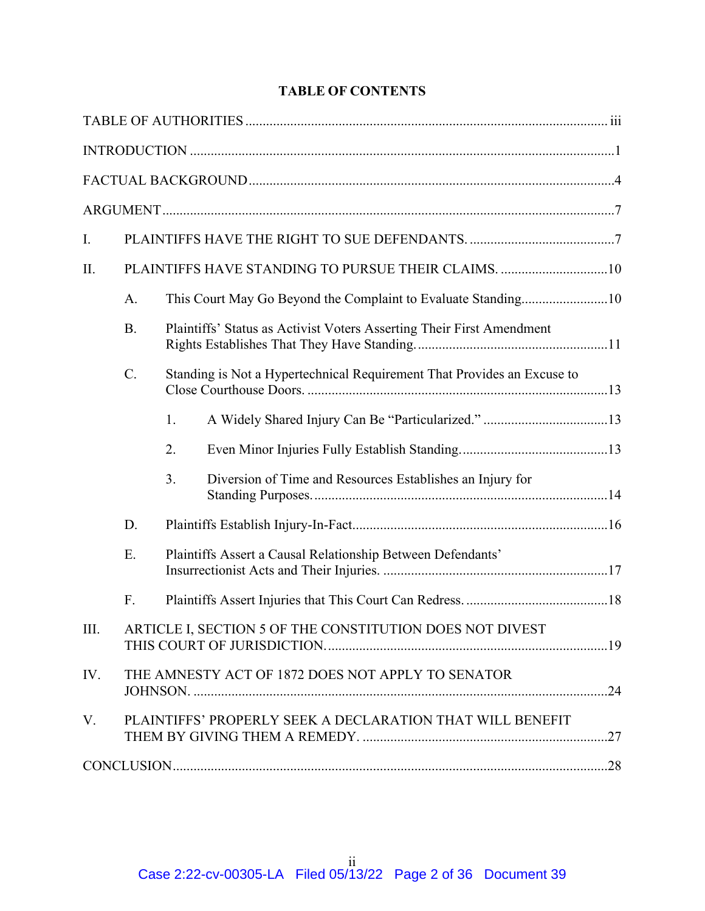# **TABLE OF CONTENTS**

| I.   |                 |    |                                                                         |  |
|------|-----------------|----|-------------------------------------------------------------------------|--|
| II.  |                 |    | PLAINTIFFS HAVE STANDING TO PURSUE THEIR CLAIMS. 10                     |  |
|      | A.              |    |                                                                         |  |
|      | <b>B.</b>       |    | Plaintiffs' Status as Activist Voters Asserting Their First Amendment   |  |
|      | $\mathcal{C}$ . |    | Standing is Not a Hypertechnical Requirement That Provides an Excuse to |  |
|      |                 | 1. |                                                                         |  |
|      |                 | 2. |                                                                         |  |
|      |                 | 3. | Diversion of Time and Resources Establishes an Injury for               |  |
|      | D.              |    |                                                                         |  |
|      | E.              |    | Plaintiffs Assert a Causal Relationship Between Defendants'             |  |
|      | F.              |    |                                                                         |  |
| III. |                 |    | ARTICLE I, SECTION 5 OF THE CONSTITUTION DOES NOT DIVEST                |  |
| IV.  |                 |    | THE AMNESTY ACT OF 1872 DOES NOT APPLY TO SENATOR                       |  |
| V.   |                 |    | PLAINTIFFS' PROPERLY SEEK A DECLARATION THAT WILL BENEFIT               |  |
|      |                 |    |                                                                         |  |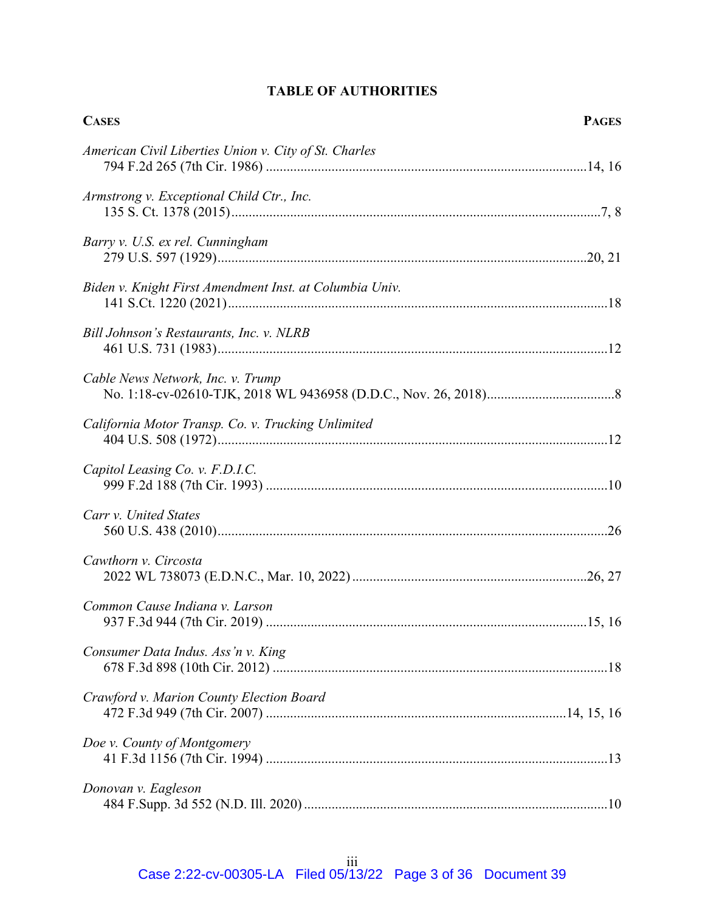| <b>CASES</b>                                            | <b>PAGES</b> |
|---------------------------------------------------------|--------------|
| American Civil Liberties Union v. City of St. Charles   |              |
| Armstrong v. Exceptional Child Ctr., Inc.               |              |
| Barry v. U.S. ex rel. Cunningham                        |              |
| Biden v. Knight First Amendment Inst. at Columbia Univ. |              |
| Bill Johnson's Restaurants, Inc. v. NLRB                |              |
| Cable News Network, Inc. v. Trump                       |              |
| California Motor Transp. Co. v. Trucking Unlimited      |              |
| Capitol Leasing Co. v. F.D.I.C.                         |              |
| Carr v. United States                                   |              |
| Cawthorn v. Circosta                                    |              |
| Common Cause Indiana v. Larson                          |              |
| Consumer Data Indus. Ass'n v. King                      |              |
| Crawford v. Marion County Election Board                |              |
| Doe v. County of Montgomery                             |              |
| Donovan v. Eagleson                                     |              |

# **TABLE OF AUTHORITIES**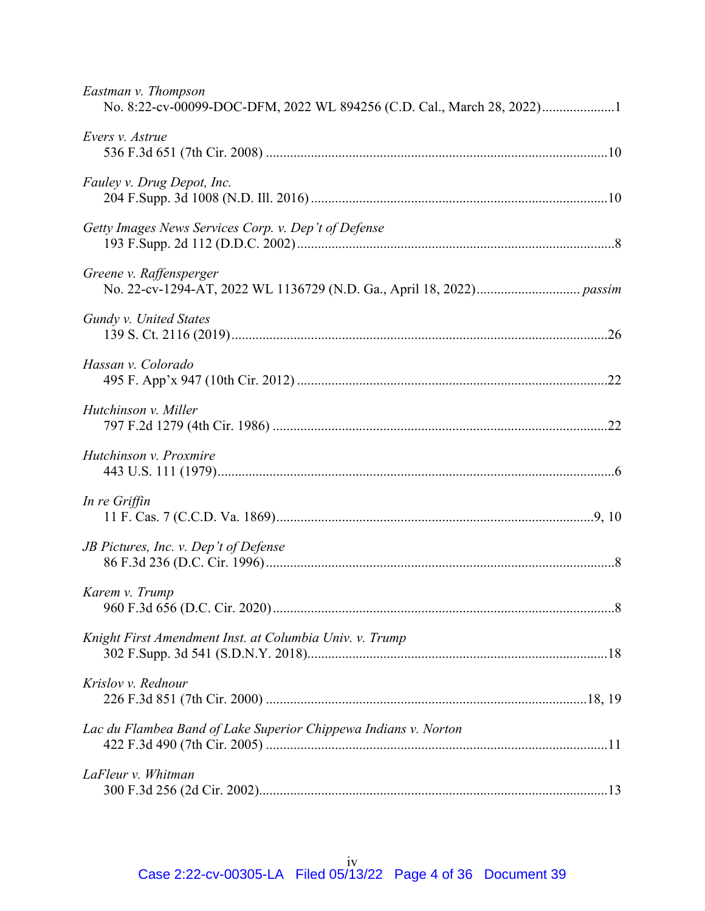| Eastman v. Thompson<br>No. 8:22-cv-00099-DOC-DFM, 2022 WL 894256 (C.D. Cal., March 28, 2022)1 |  |
|-----------------------------------------------------------------------------------------------|--|
| Evers v. Astrue                                                                               |  |
| Fauley v. Drug Depot, Inc.                                                                    |  |
| Getty Images News Services Corp. v. Dep't of Defense                                          |  |
| Greene v. Raffensperger                                                                       |  |
| Gundy v. United States                                                                        |  |
| Hassan v. Colorado                                                                            |  |
| Hutchinson v. Miller                                                                          |  |
| Hutchinson v. Proxmire                                                                        |  |
| In re Griffin                                                                                 |  |
| JB Pictures, Inc. v. Dep't of Defense                                                         |  |
| Karem v. Trump                                                                                |  |
| Knight First Amendment Inst. at Columbia Univ. v. Trump                                       |  |
| Krislov v. Rednour                                                                            |  |
| Lac du Flambea Band of Lake Superior Chippewa Indians v. Norton                               |  |
| LaFleur v. Whitman                                                                            |  |
|                                                                                               |  |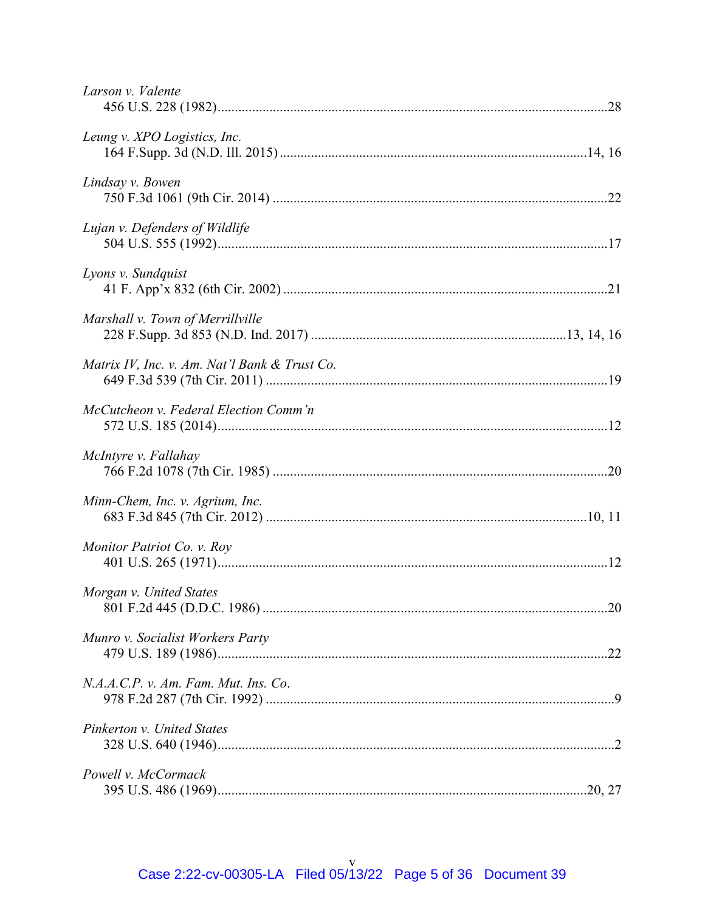| Larson v. Valente                             |  |
|-----------------------------------------------|--|
| Leung v. XPO Logistics, Inc.                  |  |
| Lindsay v. Bowen                              |  |
| Lujan v. Defenders of Wildlife                |  |
| Lyons v. Sundquist                            |  |
| Marshall v. Town of Merrillville              |  |
| Matrix IV, Inc. v. Am. Nat'l Bank & Trust Co. |  |
| McCutcheon v. Federal Election Comm'n         |  |
| McIntyre v. Fallahay                          |  |
| Minn-Chem, Inc. v. Agrium, Inc.               |  |
| Monitor Patriot Co. v. Roy                    |  |
| Morgan v. United States                       |  |
| Munro v. Socialist Workers Party              |  |
| N.A.A.C.P. v. Am. Fam. Mut. Ins. Co.          |  |
| Pinkerton v. United States                    |  |
| Powell v. McCormack                           |  |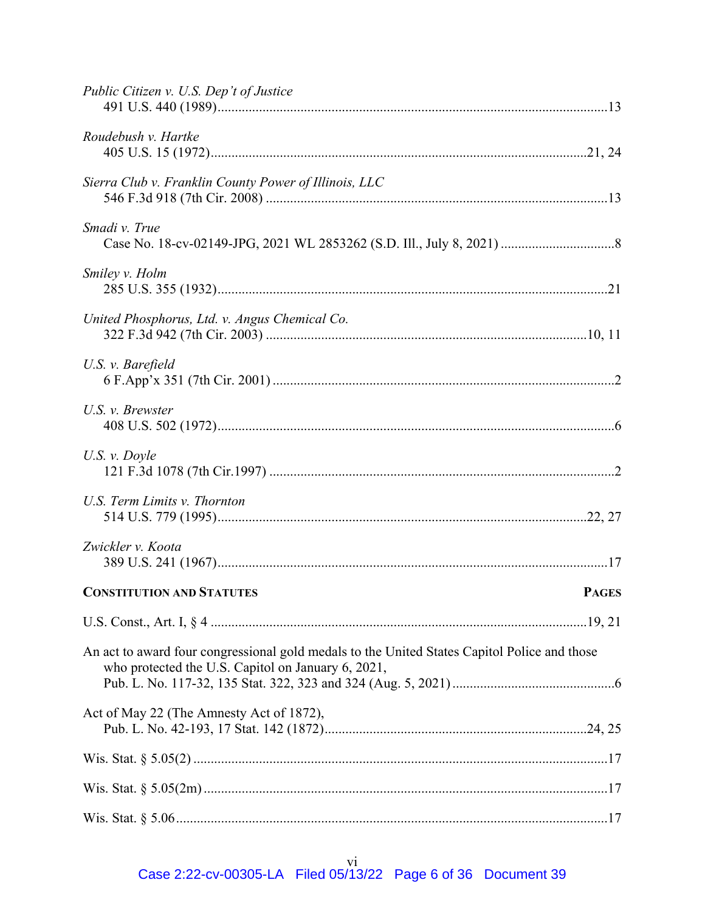| Public Citizen v. U.S. Dep't of Justice                                                                                                            |              |
|----------------------------------------------------------------------------------------------------------------------------------------------------|--------------|
| Roudebush v. Hartke                                                                                                                                |              |
| Sierra Club v. Franklin County Power of Illinois, LLC                                                                                              |              |
| Smadi v. True                                                                                                                                      |              |
| Smiley v. Holm                                                                                                                                     |              |
| United Phosphorus, Ltd. v. Angus Chemical Co.                                                                                                      |              |
| U.S. v. Barefield                                                                                                                                  |              |
| U.S. v. Brewster                                                                                                                                   |              |
| $U.S. v. \nDoyle$                                                                                                                                  |              |
| U.S. Term Limits v. Thornton                                                                                                                       |              |
| Zwickler v. Koota                                                                                                                                  |              |
| <b>CONSTITUTION AND STATUTES</b>                                                                                                                   | <b>PAGES</b> |
|                                                                                                                                                    |              |
| An act to award four congressional gold medals to the United States Capitol Police and those<br>who protected the U.S. Capitol on January 6, 2021, |              |
| Act of May 22 (The Amnesty Act of 1872),                                                                                                           |              |
|                                                                                                                                                    |              |
|                                                                                                                                                    |              |
|                                                                                                                                                    |              |

vi<br>Case 2:22-cv-00305-LA Filed 05/13/22 Page 6 of 36 Document 39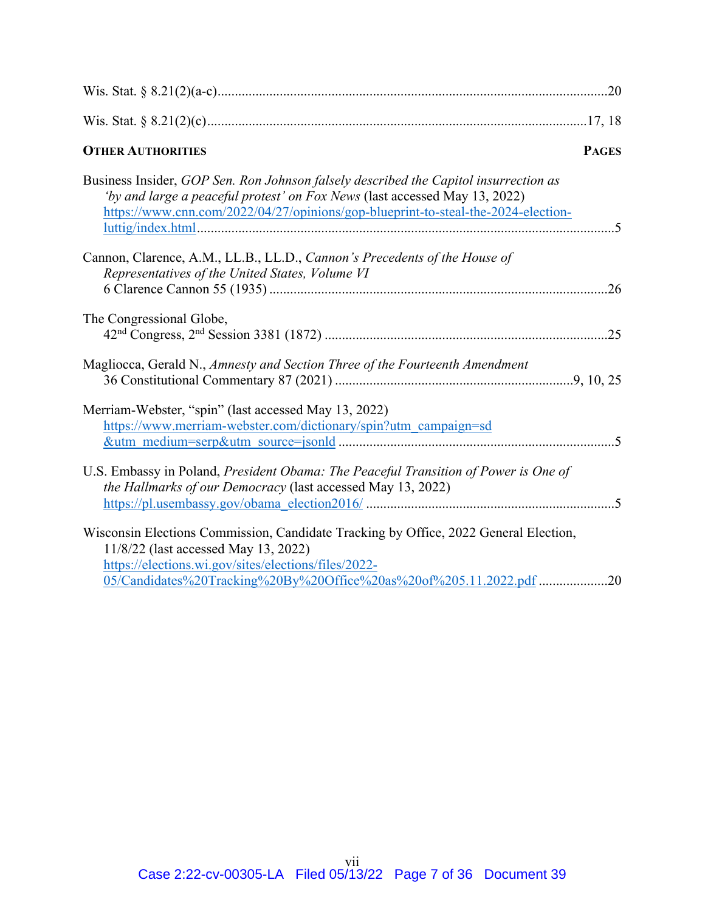| <b>OTHER AUTHORITIES</b><br><b>PAGES</b>                                                                                                                                                                                                                    |
|-------------------------------------------------------------------------------------------------------------------------------------------------------------------------------------------------------------------------------------------------------------|
| Business Insider, GOP Sen. Ron Johnson falsely described the Capitol insurrection as<br>'by and large a peaceful protest' on Fox News (last accessed May 13, 2022)<br>https://www.cnn.com/2022/04/27/opinions/gop-blueprint-to-steal-the-2024-election-     |
| Cannon, Clarence, A.M., LL.B., LL.D., Cannon's Precedents of the House of<br>Representatives of the United States, Volume VI                                                                                                                                |
| The Congressional Globe,                                                                                                                                                                                                                                    |
| Magliocca, Gerald N., Amnesty and Section Three of the Fourteenth Amendment                                                                                                                                                                                 |
| Merriam-Webster, "spin" (last accessed May 13, 2022)<br>https://www.merriam-webster.com/dictionary/spin?utm_campaign=sd                                                                                                                                     |
| U.S. Embassy in Poland, President Obama: The Peaceful Transition of Power is One of<br>the Hallmarks of our Democracy (last accessed May 13, 2022)                                                                                                          |
| Wisconsin Elections Commission, Candidate Tracking by Office, 2022 General Election,<br>11/8/22 (last accessed May 13, 2022)<br>https://elections.wi.gov/sites/elections/files/2022-<br>05/Candidates%20Tracking%20By%20Office%20as%20of%205.11.2022.pdf 20 |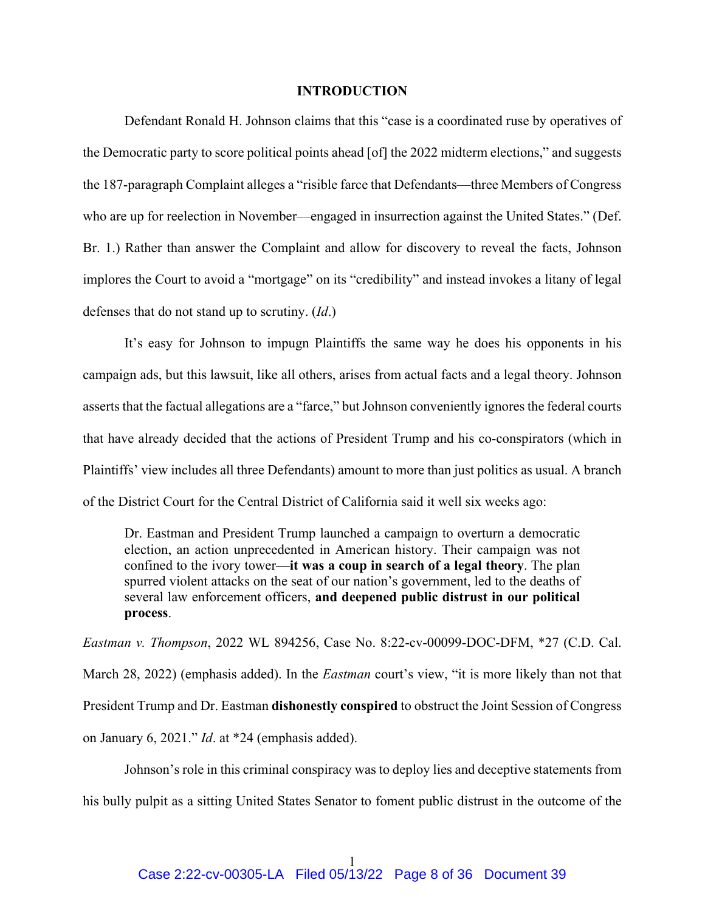#### **INTRODUCTION**

Defendant Ronald H. Johnson claims that this "case is a coordinated ruse by operatives of the Democratic party to score political points ahead [of] the 2022 midterm elections," and suggests the 187-paragraph Complaint alleges a "risible farce that Defendants—three Members of Congress who are up for reelection in November—engaged in insurrection against the United States." (Def. Br. 1.) Rather than answer the Complaint and allow for discovery to reveal the facts, Johnson implores the Court to avoid a "mortgage" on its "credibility" and instead invokes a litany of legal defenses that do not stand up to scrutiny. (*Id*.)

It's easy for Johnson to impugn Plaintiffs the same way he does his opponents in his campaign ads, but this lawsuit, like all others, arises from actual facts and a legal theory. Johnson asserts that the factual allegations are a "farce," but Johnson conveniently ignores the federal courts that have already decided that the actions of President Trump and his co-conspirators (which in Plaintiffs' view includes all three Defendants) amount to more than just politics as usual. A branch of the District Court for the Central District of California said it well six weeks ago:

Dr. Eastman and President Trump launched a campaign to overturn a democratic election, an action unprecedented in American history. Their campaign was not confined to the ivory tower—**it was a coup in search of a legal theory**. The plan spurred violent attacks on the seat of our nation's government, led to the deaths of several law enforcement officers, **and deepened public distrust in our political process**.

*Eastman v. Thompson*, 2022 WL 894256, Case No. 8:22-cv-00099-DOC-DFM, \*27 (C.D. Cal. March 28, 2022) (emphasis added). In the *Eastman* court's view, "it is more likely than not that President Trump and Dr. Eastman **dishonestly conspired** to obstruct the Joint Session of Congress on January 6, 2021." *Id*. at \*24 (emphasis added).

Johnson's role in this criminal conspiracy was to deploy lies and deceptive statements from his bully pulpit as a sitting United States Senator to foment public distrust in the outcome of the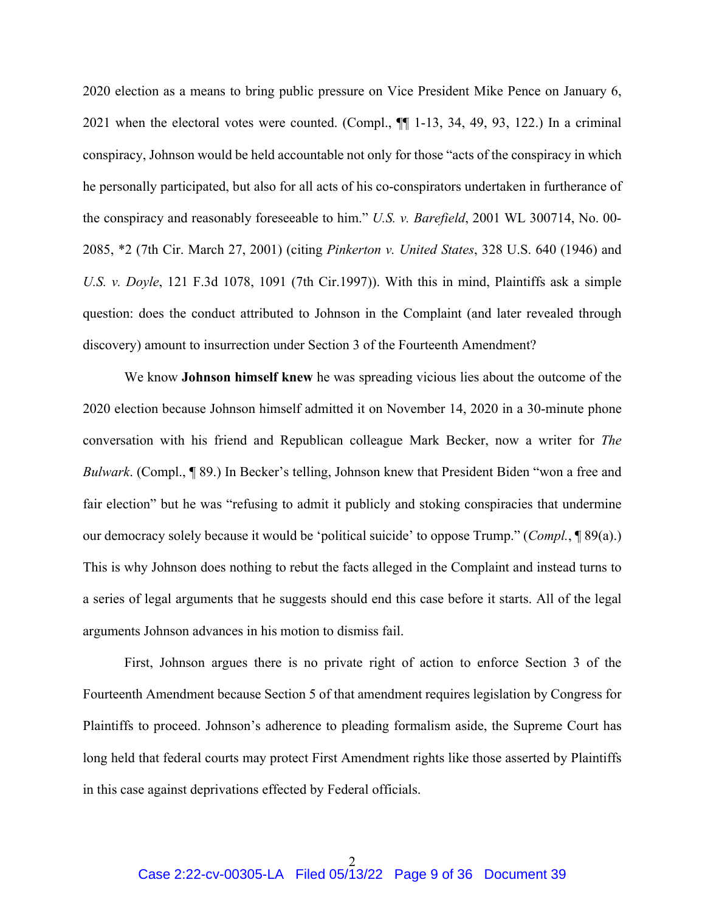2020 election as a means to bring public pressure on Vice President Mike Pence on January 6, 2021 when the electoral votes were counted. (Compl., ¶¶ 1-13, 34, 49, 93, 122.) In a criminal conspiracy, Johnson would be held accountable not only for those "acts of the conspiracy in which he personally participated, but also for all acts of his co-conspirators undertaken in furtherance of the conspiracy and reasonably foreseeable to him." *U.S. v. Barefield*, 2001 WL 300714, No. 00- 2085, \*2 (7th Cir. March 27, 2001) (citing *Pinkerton v. United States*, 328 U.S. 640 (1946) and *U.S. v. Doyle*, 121 F.3d 1078, 1091 (7th Cir.1997)). With this in mind, Plaintiffs ask a simple question: does the conduct attributed to Johnson in the Complaint (and later revealed through discovery) amount to insurrection under Section 3 of the Fourteenth Amendment?

We know **Johnson himself knew** he was spreading vicious lies about the outcome of the 2020 election because Johnson himself admitted it on November 14, 2020 in a 30-minute phone conversation with his friend and Republican colleague Mark Becker, now a writer for *The Bulwark*. (Compl., ¶ 89.) In Becker's telling, Johnson knew that President Biden "won a free and fair election" but he was "refusing to admit it publicly and stoking conspiracies that undermine our democracy solely because it would be 'political suicide' to oppose Trump." (*Compl.*, ¶ 89(a).) This is why Johnson does nothing to rebut the facts alleged in the Complaint and instead turns to a series of legal arguments that he suggests should end this case before it starts. All of the legal arguments Johnson advances in his motion to dismiss fail.

First, Johnson argues there is no private right of action to enforce Section 3 of the Fourteenth Amendment because Section 5 of that amendment requires legislation by Congress for Plaintiffs to proceed. Johnson's adherence to pleading formalism aside, the Supreme Court has long held that federal courts may protect First Amendment rights like those asserted by Plaintiffs in this case against deprivations effected by Federal officials.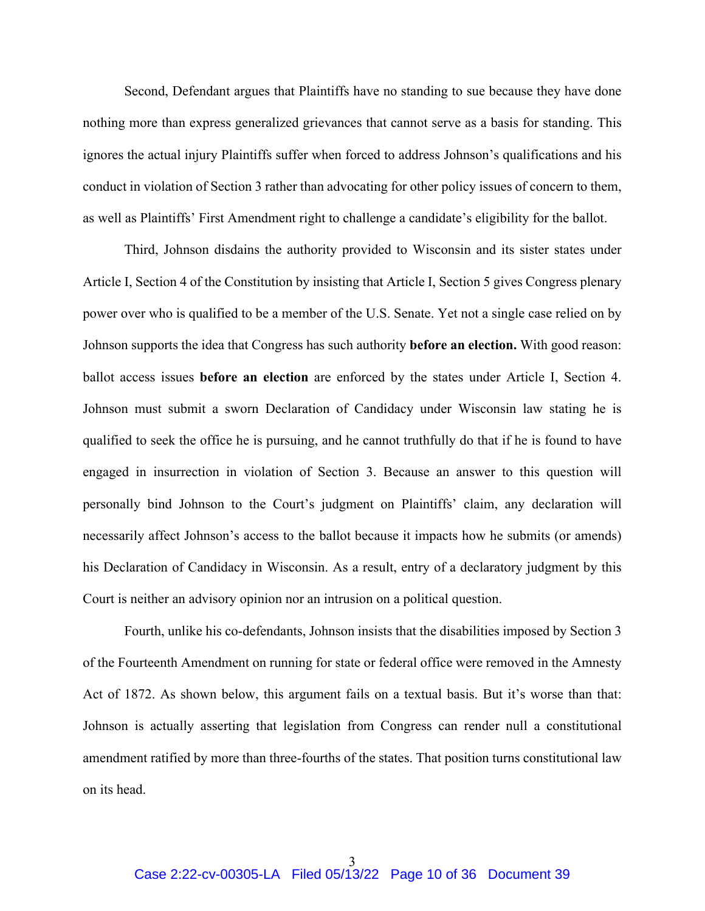Second, Defendant argues that Plaintiffs have no standing to sue because they have done nothing more than express generalized grievances that cannot serve as a basis for standing. This ignores the actual injury Plaintiffs suffer when forced to address Johnson's qualifications and his conduct in violation of Section 3 rather than advocating for other policy issues of concern to them, as well as Plaintiffs' First Amendment right to challenge a candidate's eligibility for the ballot.

Third, Johnson disdains the authority provided to Wisconsin and its sister states under Article I, Section 4 of the Constitution by insisting that Article I, Section 5 gives Congress plenary power over who is qualified to be a member of the U.S. Senate. Yet not a single case relied on by Johnson supports the idea that Congress has such authority **before an election.** With good reason: ballot access issues **before an election** are enforced by the states under Article I, Section 4. Johnson must submit a sworn Declaration of Candidacy under Wisconsin law stating he is qualified to seek the office he is pursuing, and he cannot truthfully do that if he is found to have engaged in insurrection in violation of Section 3. Because an answer to this question will personally bind Johnson to the Court's judgment on Plaintiffs' claim, any declaration will necessarily affect Johnson's access to the ballot because it impacts how he submits (or amends) his Declaration of Candidacy in Wisconsin. As a result, entry of a declaratory judgment by this Court is neither an advisory opinion nor an intrusion on a political question.

Fourth, unlike his co-defendants, Johnson insists that the disabilities imposed by Section 3 of the Fourteenth Amendment on running for state or federal office were removed in the Amnesty Act of 1872. As shown below, this argument fails on a textual basis. But it's worse than that: Johnson is actually asserting that legislation from Congress can render null a constitutional amendment ratified by more than three-fourths of the states. That position turns constitutional law on its head.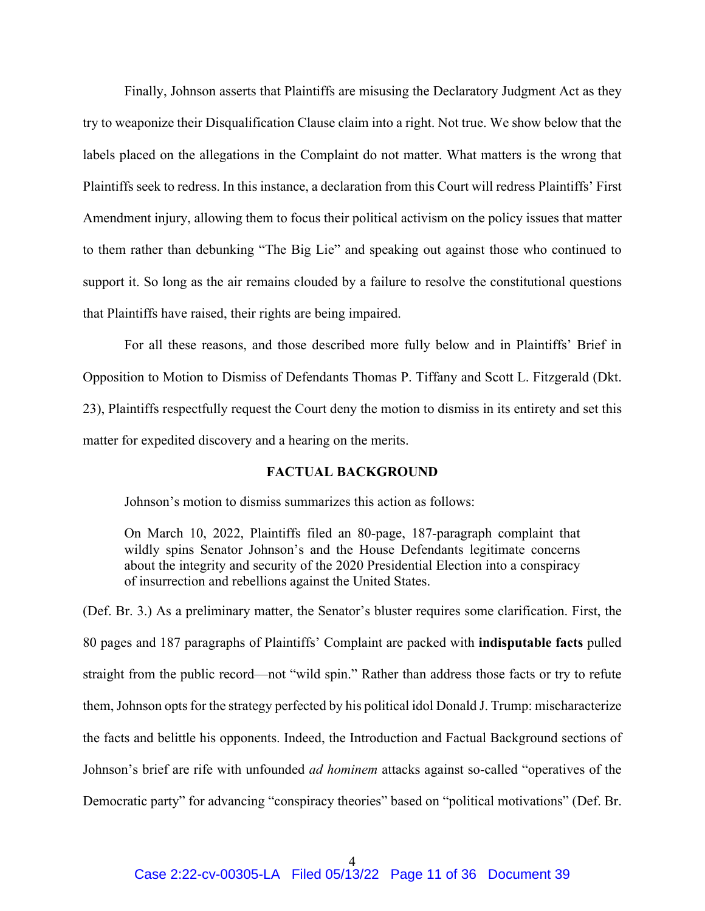Finally, Johnson asserts that Plaintiffs are misusing the Declaratory Judgment Act as they try to weaponize their Disqualification Clause claim into a right. Not true. We show below that the labels placed on the allegations in the Complaint do not matter. What matters is the wrong that Plaintiffs seek to redress. In this instance, a declaration from this Court will redress Plaintiffs' First Amendment injury, allowing them to focus their political activism on the policy issues that matter to them rather than debunking "The Big Lie" and speaking out against those who continued to support it. So long as the air remains clouded by a failure to resolve the constitutional questions that Plaintiffs have raised, their rights are being impaired.

For all these reasons, and those described more fully below and in Plaintiffs' Brief in Opposition to Motion to Dismiss of Defendants Thomas P. Tiffany and Scott L. Fitzgerald (Dkt. 23), Plaintiffs respectfully request the Court deny the motion to dismiss in its entirety and set this matter for expedited discovery and a hearing on the merits.

#### **FACTUAL BACKGROUND**

Johnson's motion to dismiss summarizes this action as follows:

On March 10, 2022, Plaintiffs filed an 80-page, 187-paragraph complaint that wildly spins Senator Johnson's and the House Defendants legitimate concerns about the integrity and security of the 2020 Presidential Election into a conspiracy of insurrection and rebellions against the United States.

(Def. Br. 3.) As a preliminary matter, the Senator's bluster requires some clarification. First, the 80 pages and 187 paragraphs of Plaintiffs' Complaint are packed with **indisputable facts** pulled straight from the public record—not "wild spin." Rather than address those facts or try to refute them, Johnson opts for the strategy perfected by his political idol Donald J. Trump: mischaracterize the facts and belittle his opponents. Indeed, the Introduction and Factual Background sections of Johnson's brief are rife with unfounded *ad hominem* attacks against so-called "operatives of the Democratic party" for advancing "conspiracy theories" based on "political motivations" (Def. Br.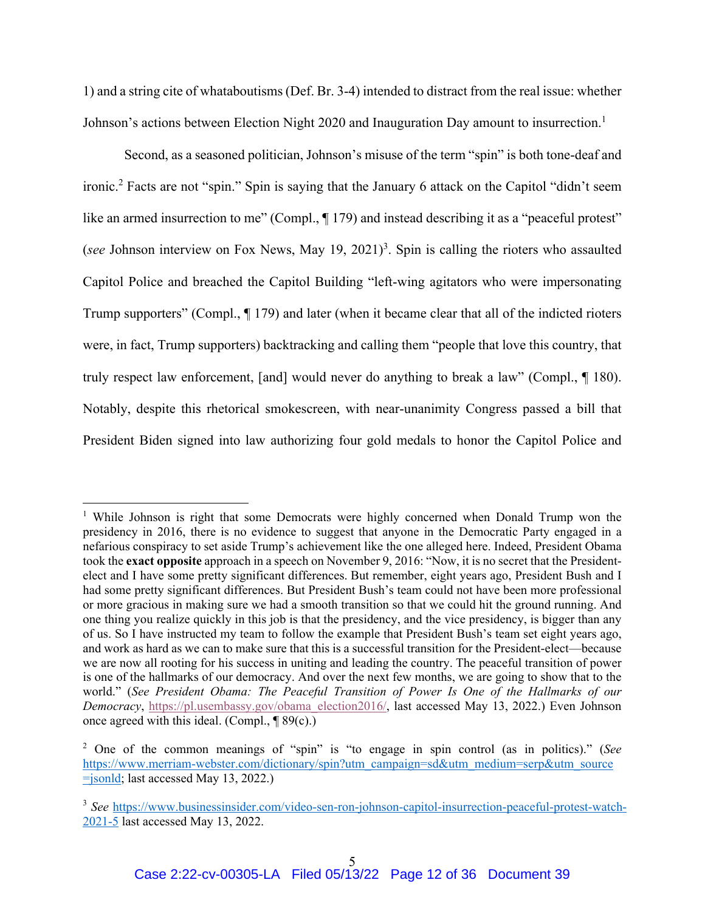1) and a string cite of whataboutisms (Def. Br. 3-4) intended to distract from the real issue: whether Johnson's actions between Election Night 2020 and Inauguration Day amount to insurrection.<sup>1</sup>

Second, as a seasoned politician, Johnson's misuse of the term "spin" is both tone-deaf and ironic.<sup>2</sup> Facts are not "spin." Spin is saying that the January 6 attack on the Capitol "didn't seem like an armed insurrection to me" (Compl.,  $\P$  179) and instead describing it as a "peaceful protest" (see Johnson interview on Fox News, May  $19, 2021$ )<sup>3</sup>. Spin is calling the rioters who assaulted Capitol Police and breached the Capitol Building "left-wing agitators who were impersonating Trump supporters" (Compl., ¶ 179) and later (when it became clear that all of the indicted rioters were, in fact, Trump supporters) backtracking and calling them "people that love this country, that truly respect law enforcement, [and] would never do anything to break a law" (Compl., ¶ 180). Notably, despite this rhetorical smokescreen, with near-unanimity Congress passed a bill that President Biden signed into law authorizing four gold medals to honor the Capitol Police and

<sup>&</sup>lt;sup>1</sup> While Johnson is right that some Democrats were highly concerned when Donald Trump won the presidency in 2016, there is no evidence to suggest that anyone in the Democratic Party engaged in a nefarious conspiracy to set aside Trump's achievement like the one alleged here. Indeed, President Obama took the **exact opposite** approach in a speech on November 9, 2016: "Now, it is no secret that the Presidentelect and I have some pretty significant differences. But remember, eight years ago, President Bush and I had some pretty significant differences. But President Bush's team could not have been more professional or more gracious in making sure we had a smooth transition so that we could hit the ground running. And one thing you realize quickly in this job is that the presidency, and the vice presidency, is bigger than any of us. So I have instructed my team to follow the example that President Bush's team set eight years ago, and work as hard as we can to make sure that this is a successful transition for the President-elect—because we are now all rooting for his success in uniting and leading the country. The peaceful transition of power is one of the hallmarks of our democracy. And over the next few months, we are going to show that to the world." (*See President Obama: The Peaceful Transition of Power Is One of the Hallmarks of our Democracy*, https://pl.usembassy.gov/obama\_election2016/, last accessed May 13, 2022.) Even Johnson once agreed with this ideal. (Compl.,  $\P$ 89(c).)

<sup>2</sup> One of the common meanings of "spin" is "to engage in spin control (as in politics)." (*See*  https://www.merriam-webster.com/dictionary/spin?utm\_campaign=sd&utm\_medium=serp&utm\_source =jsonld; last accessed May 13, 2022.)

<sup>3</sup> *See* https://www.businessinsider.com/video-sen-ron-johnson-capitol-insurrection-peaceful-protest-watch-2021-5 last accessed May 13, 2022.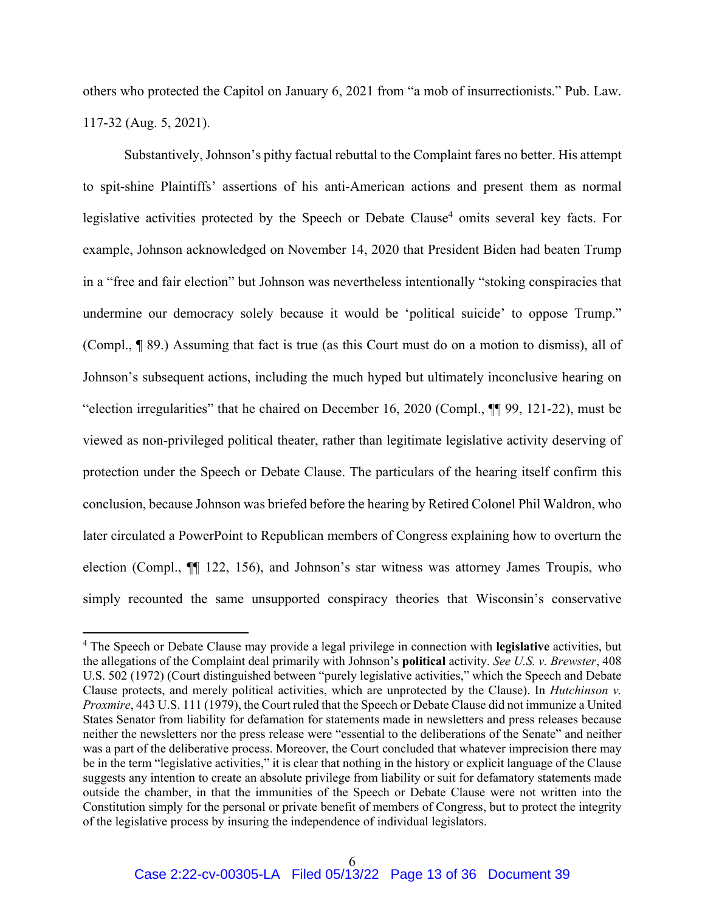others who protected the Capitol on January 6, 2021 from "a mob of insurrectionists." Pub. Law. 117-32 (Aug. 5, 2021).

Substantively, Johnson's pithy factual rebuttal to the Complaint fares no better. His attempt to spit-shine Plaintiffs' assertions of his anti-American actions and present them as normal legislative activities protected by the Speech or Debate Clause<sup>4</sup> omits several key facts. For example, Johnson acknowledged on November 14, 2020 that President Biden had beaten Trump in a "free and fair election" but Johnson was nevertheless intentionally "stoking conspiracies that undermine our democracy solely because it would be 'political suicide' to oppose Trump." (Compl., ¶ 89.) Assuming that fact is true (as this Court must do on a motion to dismiss), all of Johnson's subsequent actions, including the much hyped but ultimately inconclusive hearing on "election irregularities" that he chaired on December 16, 2020 (Compl., ¶¶ 99, 121-22), must be viewed as non-privileged political theater, rather than legitimate legislative activity deserving of protection under the Speech or Debate Clause. The particulars of the hearing itself confirm this conclusion, because Johnson was briefed before the hearing by Retired Colonel Phil Waldron, who later circulated a PowerPoint to Republican members of Congress explaining how to overturn the election (Compl., ¶¶ 122, 156), and Johnson's star witness was attorney James Troupis, who simply recounted the same unsupported conspiracy theories that Wisconsin's conservative

<sup>4</sup> The Speech or Debate Clause may provide a legal privilege in connection with **legislative** activities, but the allegations of the Complaint deal primarily with Johnson's **political** activity. *See U.S. v. Brewster*, 408 U.S. 502 (1972) (Court distinguished between "purely legislative activities," which the Speech and Debate Clause protects, and merely political activities, which are unprotected by the Clause). In *Hutchinson v. Proxmire*, 443 U.S. 111 (1979), the Court ruled that the Speech or Debate Clause did not immunize a United States Senator from liability for defamation for statements made in newsletters and press releases because neither the newsletters nor the press release were "essential to the deliberations of the Senate" and neither was a part of the deliberative process. Moreover, the Court concluded that whatever imprecision there may be in the term "legislative activities," it is clear that nothing in the history or explicit language of the Clause suggests any intention to create an absolute privilege from liability or suit for defamatory statements made outside the chamber, in that the immunities of the Speech or Debate Clause were not written into the Constitution simply for the personal or private benefit of members of Congress, but to protect the integrity of the legislative process by insuring the independence of individual legislators.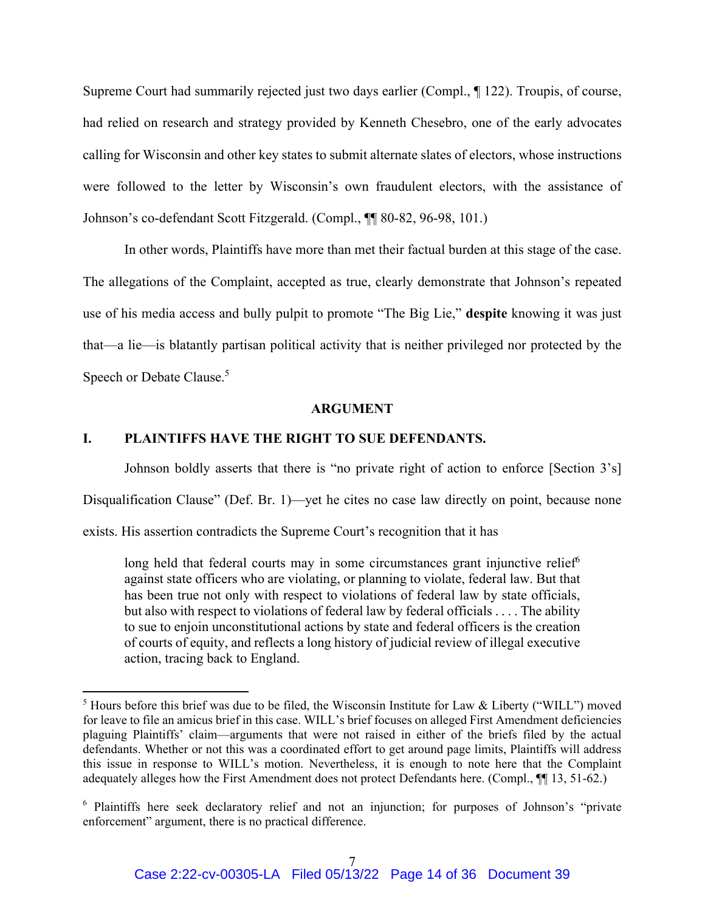Supreme Court had summarily rejected just two days earlier (Compl., ¶ 122). Troupis, of course, had relied on research and strategy provided by Kenneth Chesebro, one of the early advocates calling for Wisconsin and other key states to submit alternate slates of electors, whose instructions were followed to the letter by Wisconsin's own fraudulent electors, with the assistance of Johnson's co-defendant Scott Fitzgerald. (Compl., ¶¶ 80-82, 96-98, 101.)

In other words, Plaintiffs have more than met their factual burden at this stage of the case. The allegations of the Complaint, accepted as true, clearly demonstrate that Johnson's repeated use of his media access and bully pulpit to promote "The Big Lie," **despite** knowing it was just that—a lie—is blatantly partisan political activity that is neither privileged nor protected by the Speech or Debate Clause.<sup>5</sup>

#### **ARGUMENT**

### **I. PLAINTIFFS HAVE THE RIGHT TO SUE DEFENDANTS.**

Johnson boldly asserts that there is "no private right of action to enforce [Section 3's]

Disqualification Clause" (Def. Br. 1)—yet he cites no case law directly on point, because none

exists. His assertion contradicts the Supreme Court's recognition that it has

long held that federal courts may in some circumstances grant injunctive relief<sup>6</sup> against state officers who are violating, or planning to violate, federal law. But that has been true not only with respect to violations of federal law by state officials, but also with respect to violations of federal law by federal officials . . . . The ability to sue to enjoin unconstitutional actions by state and federal officers is the creation of courts of equity, and reflects a long history of judicial review of illegal executive action, tracing back to England.

 $<sup>5</sup>$  Hours before this brief was due to be filed, the Wisconsin Institute for Law & Liberty ("WILL") moved</sup> for leave to file an amicus brief in this case. WILL's brief focuses on alleged First Amendment deficiencies plaguing Plaintiffs' claim—arguments that were not raised in either of the briefs filed by the actual defendants. Whether or not this was a coordinated effort to get around page limits, Plaintiffs will address this issue in response to WILL's motion. Nevertheless, it is enough to note here that the Complaint adequately alleges how the First Amendment does not protect Defendants here. (Compl., ¶¶ 13, 51-62.)

<sup>&</sup>lt;sup>6</sup> Plaintiffs here seek declaratory relief and not an injunction; for purposes of Johnson's "private enforcement" argument, there is no practical difference.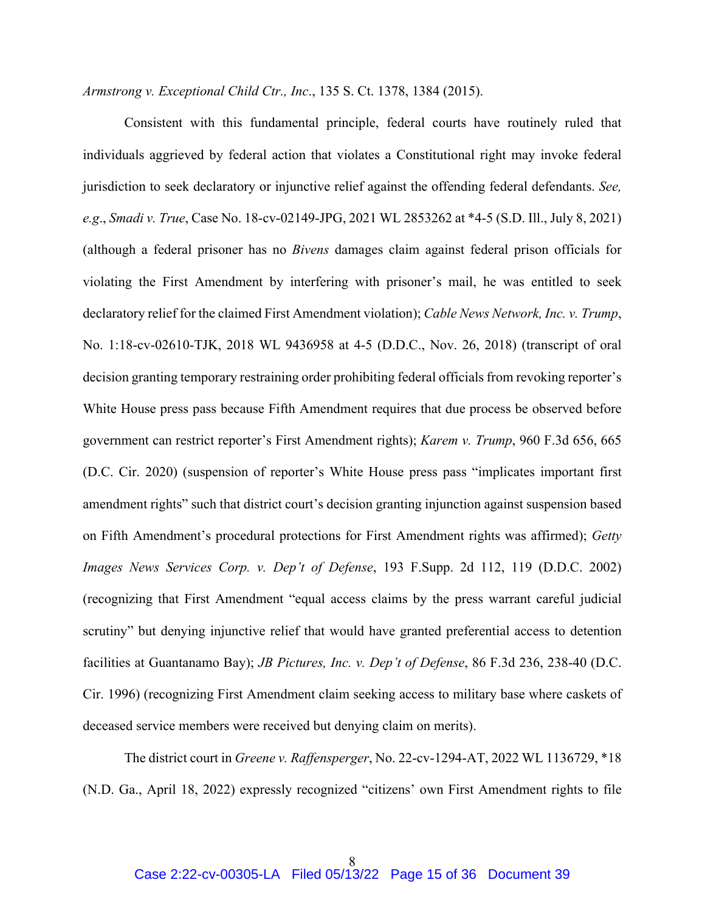*Armstrong v. Exceptional Child Ctr., Inc*., 135 S. Ct. 1378, 1384 (2015).

Consistent with this fundamental principle, federal courts have routinely ruled that individuals aggrieved by federal action that violates a Constitutional right may invoke federal jurisdiction to seek declaratory or injunctive relief against the offending federal defendants. *See, e.g*., *Smadi v. True*, Case No. 18-cv-02149-JPG, 2021 WL 2853262 at \*4-5 (S.D. Ill., July 8, 2021) (although a federal prisoner has no *Bivens* damages claim against federal prison officials for violating the First Amendment by interfering with prisoner's mail, he was entitled to seek declaratory relief for the claimed First Amendment violation); *Cable News Network, Inc. v. Trump*, No. 1:18-cv-02610-TJK, 2018 WL 9436958 at 4-5 (D.D.C., Nov. 26, 2018) (transcript of oral decision granting temporary restraining order prohibiting federal officials from revoking reporter's White House press pass because Fifth Amendment requires that due process be observed before government can restrict reporter's First Amendment rights); *Karem v. Trump*, 960 F.3d 656, 665 (D.C. Cir. 2020) (suspension of reporter's White House press pass "implicates important first amendment rights" such that district court's decision granting injunction against suspension based on Fifth Amendment's procedural protections for First Amendment rights was affirmed); *Getty Images News Services Corp. v. Dep't of Defense*, 193 F.Supp. 2d 112, 119 (D.D.C. 2002) (recognizing that First Amendment "equal access claims by the press warrant careful judicial scrutiny" but denying injunctive relief that would have granted preferential access to detention facilities at Guantanamo Bay); *JB Pictures, Inc. v. Dep't of Defense*, 86 F.3d 236, 238-40 (D.C. Cir. 1996) (recognizing First Amendment claim seeking access to military base where caskets of deceased service members were received but denying claim on merits).

The district court in *Greene v. Raffensperger*, No. 22-cv-1294-AT, 2022 WL 1136729, \*18 (N.D. Ga., April 18, 2022) expressly recognized "citizens' own First Amendment rights to file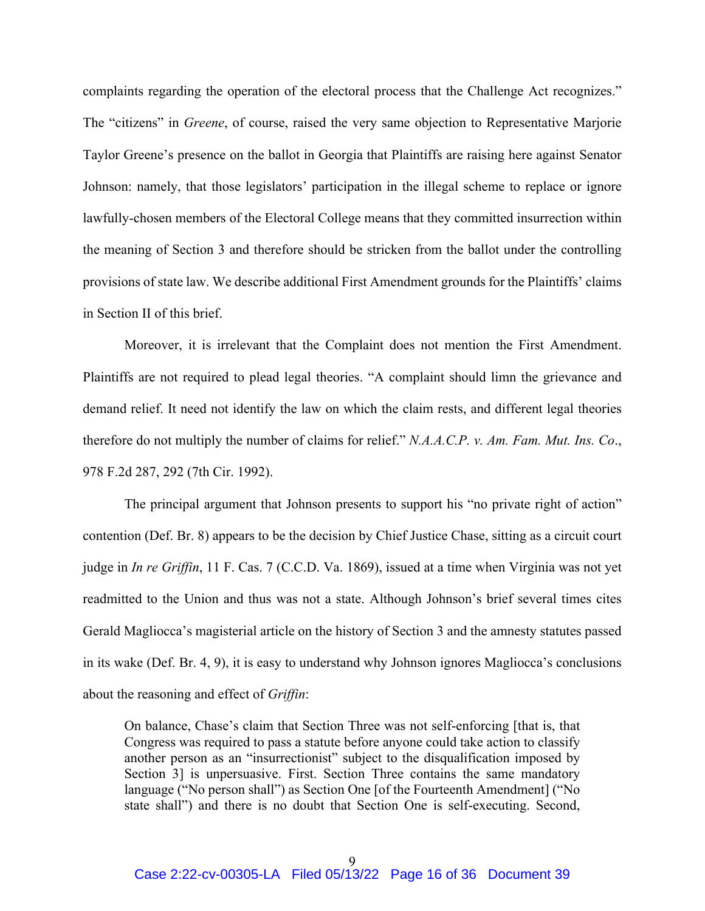complaints regarding the operation of the electoral process that the Challenge Act recognizes." The "citizens" in *Greene*, of course, raised the very same objection to Representative Marjorie Taylor Greene's presence on the ballot in Georgia that Plaintiffs are raising here against Senator Johnson: namely, that those legislators' participation in the illegal scheme to replace or ignore lawfully-chosen members of the Electoral College means that they committed insurrection within the meaning of Section 3 and therefore should be stricken from the ballot under the controlling provisions of state law. We describe additional First Amendment grounds for the Plaintiffs' claims in Section II of this brief.

Moreover, it is irrelevant that the Complaint does not mention the First Amendment. Plaintiffs are not required to plead legal theories. "A complaint should limn the grievance and demand relief. It need not identify the law on which the claim rests, and different legal theories therefore do not multiply the number of claims for relief." *N.A.A.C.P. v. Am. Fam. Mut. Ins. Co*., 978 F.2d 287, 292 (7th Cir. 1992).

The principal argument that Johnson presents to support his "no private right of action" contention (Def. Br. 8) appears to be the decision by Chief Justice Chase, sitting as a circuit court judge in *In re Griffin*, 11 F. Cas. 7 (C.C.D. Va. 1869), issued at a time when Virginia was not yet readmitted to the Union and thus was not a state. Although Johnson's brief several times cites Gerald Magliocca's magisterial article on the history of Section 3 and the amnesty statutes passed in its wake (Def. Br. 4, 9), it is easy to understand why Johnson ignores Magliocca's conclusions about the reasoning and effect of *Griffin*:

On balance, Chase's claim that Section Three was not self-enforcing [that is, that Congress was required to pass a statute before anyone could take action to classify another person as an "insurrectionist" subject to the disqualification imposed by Section 3] is unpersuasive. First. Section Three contains the same mandatory language ("No person shall") as Section One [of the Fourteenth Amendment] ("No state shall") and there is no doubt that Section One is self-executing. Second,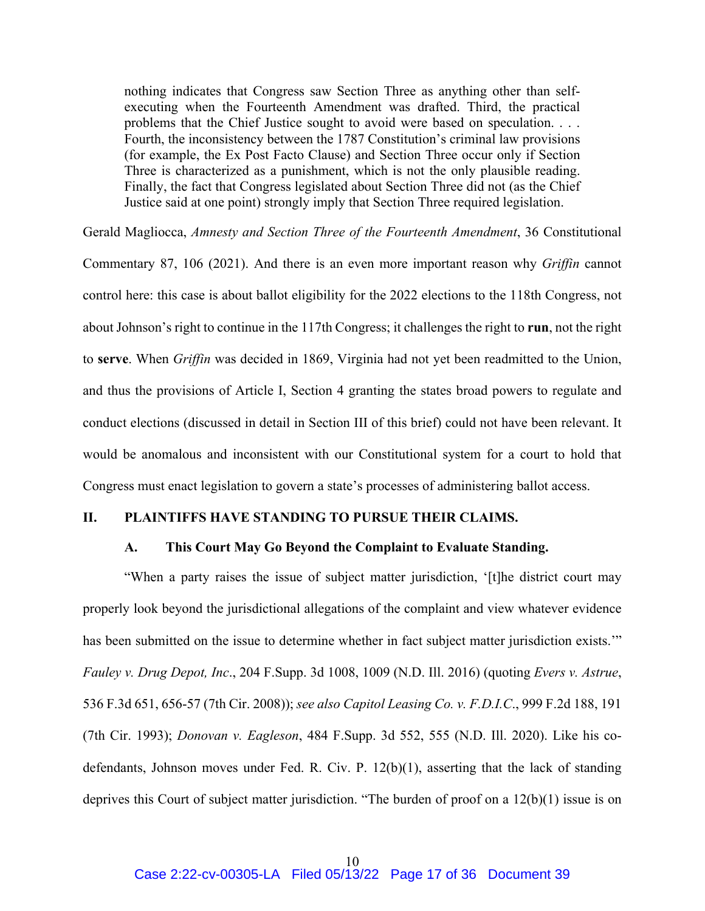nothing indicates that Congress saw Section Three as anything other than selfexecuting when the Fourteenth Amendment was drafted. Third, the practical problems that the Chief Justice sought to avoid were based on speculation. . . . Fourth, the inconsistency between the 1787 Constitution's criminal law provisions (for example, the Ex Post Facto Clause) and Section Three occur only if Section Three is characterized as a punishment, which is not the only plausible reading. Finally, the fact that Congress legislated about Section Three did not (as the Chief Justice said at one point) strongly imply that Section Three required legislation.

Gerald Magliocca, *Amnesty and Section Three of the Fourteenth Amendment*, 36 Constitutional Commentary 87, 106 (2021). And there is an even more important reason why *Griffin* cannot control here: this case is about ballot eligibility for the 2022 elections to the 118th Congress, not about Johnson's right to continue in the 117th Congress; it challenges the right to **run**, not the right to **serve**. When *Griffin* was decided in 1869, Virginia had not yet been readmitted to the Union, and thus the provisions of Article I, Section 4 granting the states broad powers to regulate and conduct elections (discussed in detail in Section III of this brief) could not have been relevant. It would be anomalous and inconsistent with our Constitutional system for a court to hold that Congress must enact legislation to govern a state's processes of administering ballot access.

### **II. PLAINTIFFS HAVE STANDING TO PURSUE THEIR CLAIMS.**

### **A. This Court May Go Beyond the Complaint to Evaluate Standing.**

"When a party raises the issue of subject matter jurisdiction, '[t]he district court may properly look beyond the jurisdictional allegations of the complaint and view whatever evidence has been submitted on the issue to determine whether in fact subject matter jurisdiction exists.'" *Fauley v. Drug Depot, Inc*., 204 F.Supp. 3d 1008, 1009 (N.D. Ill. 2016) (quoting *Evers v. Astrue*, 536 F.3d 651, 656-57 (7th Cir. 2008)); *see also Capitol Leasing Co. v. F.D.I.C*., 999 F.2d 188, 191 (7th Cir. 1993); *Donovan v. Eagleson*, 484 F.Supp. 3d 552, 555 (N.D. Ill. 2020). Like his codefendants, Johnson moves under Fed. R. Civ. P. 12(b)(1), asserting that the lack of standing deprives this Court of subject matter jurisdiction. "The burden of proof on a 12(b)(1) issue is on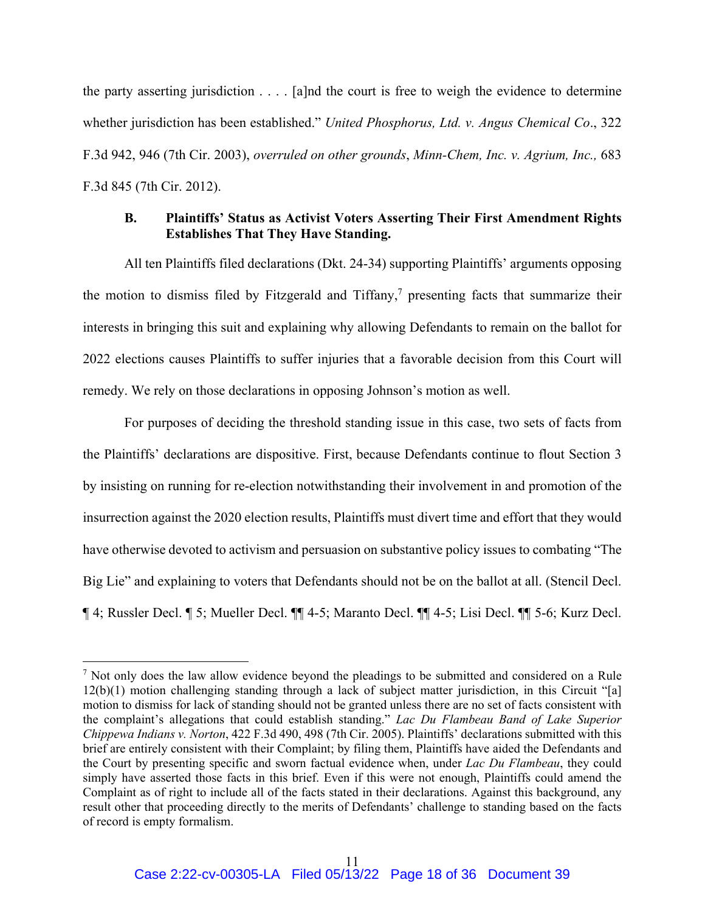the party asserting jurisdiction . . . . [a]nd the court is free to weigh the evidence to determine whether jurisdiction has been established." *United Phosphorus, Ltd. v. Angus Chemical Co*., 322 F.3d 942, 946 (7th Cir. 2003), *overruled on other grounds*, *Minn-Chem, Inc. v. Agrium, Inc.,* 683 F.3d 845 (7th Cir. 2012).

### **B. Plaintiffs' Status as Activist Voters Asserting Their First Amendment Rights Establishes That They Have Standing.**

All ten Plaintiffs filed declarations (Dkt. 24-34) supporting Plaintiffs' arguments opposing the motion to dismiss filed by Fitzgerald and Tiffany, $\frac{7}{7}$  presenting facts that summarize their interests in bringing this suit and explaining why allowing Defendants to remain on the ballot for 2022 elections causes Plaintiffs to suffer injuries that a favorable decision from this Court will remedy. We rely on those declarations in opposing Johnson's motion as well.

For purposes of deciding the threshold standing issue in this case, two sets of facts from the Plaintiffs' declarations are dispositive. First, because Defendants continue to flout Section 3 by insisting on running for re-election notwithstanding their involvement in and promotion of the insurrection against the 2020 election results, Plaintiffs must divert time and effort that they would have otherwise devoted to activism and persuasion on substantive policy issues to combating "The Big Lie" and explaining to voters that Defendants should not be on the ballot at all. (Stencil Decl. ¶ 4; Russler Decl. ¶ 5; Mueller Decl. ¶¶ 4-5; Maranto Decl. ¶¶ 4-5; Lisi Decl. ¶¶ 5-6; Kurz Decl.

 $<sup>7</sup>$  Not only does the law allow evidence beyond the pleadings to be submitted and considered on a Rule</sup> 12(b)(1) motion challenging standing through a lack of subject matter jurisdiction, in this Circuit "[a] motion to dismiss for lack of standing should not be granted unless there are no set of facts consistent with the complaint's allegations that could establish standing." *Lac Du Flambeau Band of Lake Superior Chippewa Indians v. Norton*, 422 F.3d 490, 498 (7th Cir. 2005). Plaintiffs' declarations submitted with this brief are entirely consistent with their Complaint; by filing them, Plaintiffs have aided the Defendants and the Court by presenting specific and sworn factual evidence when, under *Lac Du Flambeau*, they could simply have asserted those facts in this brief. Even if this were not enough, Plaintiffs could amend the Complaint as of right to include all of the facts stated in their declarations. Against this background, any result other that proceeding directly to the merits of Defendants' challenge to standing based on the facts of record is empty formalism.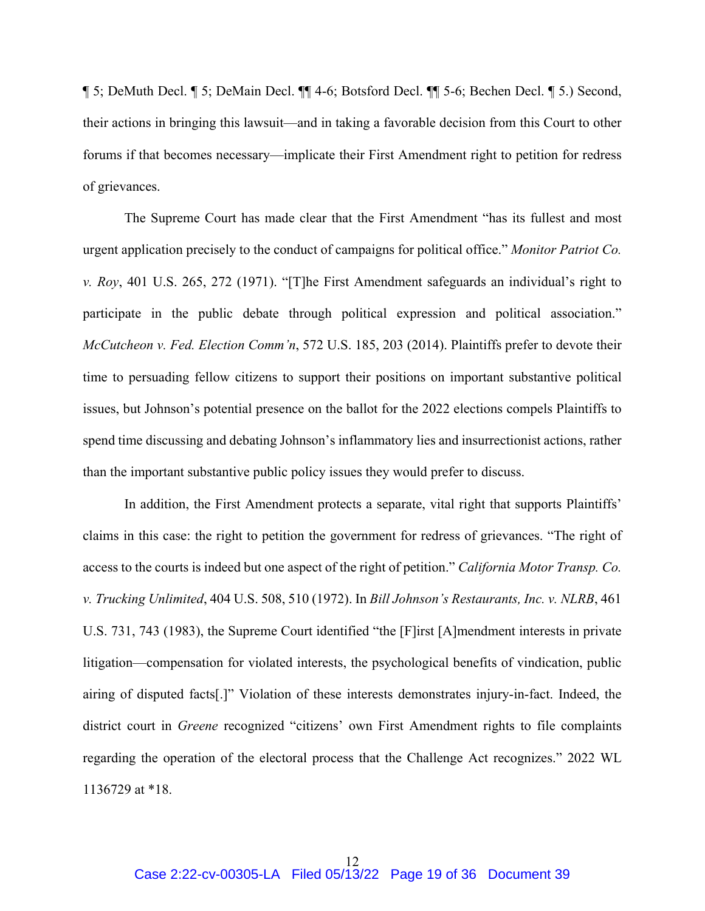¶ 5; DeMuth Decl. ¶ 5; DeMain Decl. ¶¶ 4-6; Botsford Decl. ¶¶ 5-6; Bechen Decl. ¶ 5.) Second, their actions in bringing this lawsuit—and in taking a favorable decision from this Court to other forums if that becomes necessary—implicate their First Amendment right to petition for redress of grievances.

The Supreme Court has made clear that the First Amendment "has its fullest and most urgent application precisely to the conduct of campaigns for political office." *Monitor Patriot Co. v. Roy*, 401 U.S. 265, 272 (1971). "[T]he First Amendment safeguards an individual's right to participate in the public debate through political expression and political association." *McCutcheon v. Fed. Election Comm'n*, 572 U.S. 185, 203 (2014). Plaintiffs prefer to devote their time to persuading fellow citizens to support their positions on important substantive political issues, but Johnson's potential presence on the ballot for the 2022 elections compels Plaintiffs to spend time discussing and debating Johnson's inflammatory lies and insurrectionist actions, rather than the important substantive public policy issues they would prefer to discuss.

In addition, the First Amendment protects a separate, vital right that supports Plaintiffs' claims in this case: the right to petition the government for redress of grievances. "The right of access to the courts is indeed but one aspect of the right of petition." *California Motor Transp. Co. v. Trucking Unlimited*, 404 U.S. 508, 510 (1972). In *Bill Johnson's Restaurants, Inc. v. NLRB*, 461 U.S. 731, 743 (1983), the Supreme Court identified "the [F]irst [A]mendment interests in private litigation—compensation for violated interests, the psychological benefits of vindication, public airing of disputed facts[.]" Violation of these interests demonstrates injury-in-fact. Indeed, the district court in *Greene* recognized "citizens' own First Amendment rights to file complaints regarding the operation of the electoral process that the Challenge Act recognizes." 2022 WL 1136729 at \*18.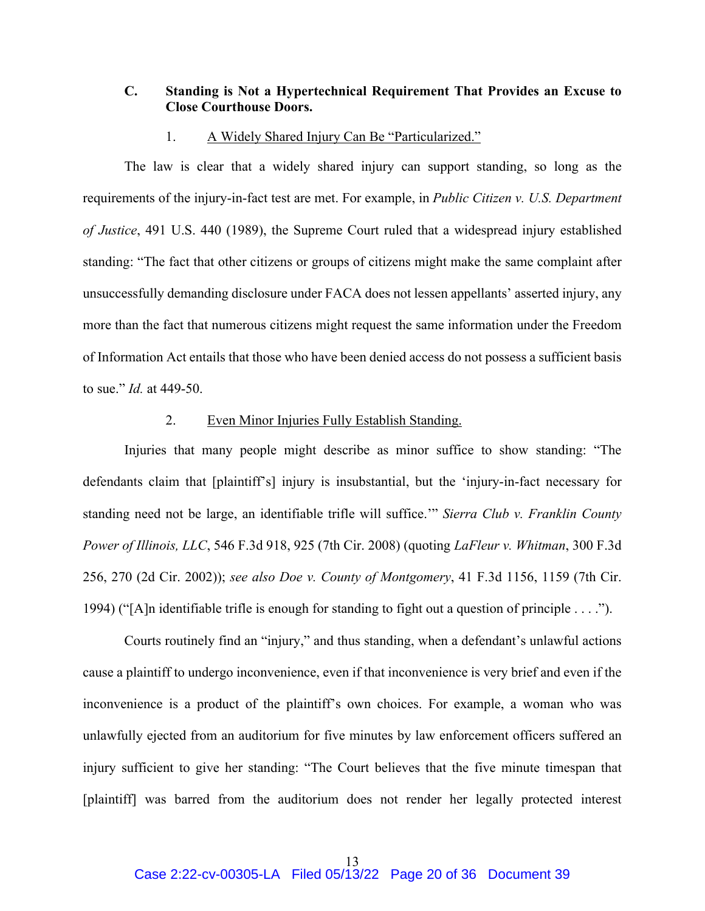### **C. Standing is Not a Hypertechnical Requirement That Provides an Excuse to Close Courthouse Doors.**

#### 1. A Widely Shared Injury Can Be "Particularized."

The law is clear that a widely shared injury can support standing, so long as the requirements of the injury-in-fact test are met. For example, in *Public Citizen v. U.S. Department of Justice*, 491 U.S. 440 (1989), the Supreme Court ruled that a widespread injury established standing: "The fact that other citizens or groups of citizens might make the same complaint after unsuccessfully demanding disclosure under FACA does not lessen appellants' asserted injury, any more than the fact that numerous citizens might request the same information under the Freedom of Information Act entails that those who have been denied access do not possess a sufficient basis to sue." *Id.* at 449-50.

### 2. Even Minor Injuries Fully Establish Standing.

Injuries that many people might describe as minor suffice to show standing: "The defendants claim that [plaintiff's] injury is insubstantial, but the 'injury-in-fact necessary for standing need not be large, an identifiable trifle will suffice.'" *Sierra Club v. Franklin County Power of Illinois, LLC*, 546 F.3d 918, 925 (7th Cir. 2008) (quoting *LaFleur v. Whitman*, 300 F.3d 256, 270 (2d Cir. 2002)); *see also Doe v. County of Montgomery*, 41 F.3d 1156, 1159 (7th Cir. 1994) ("[A]n identifiable trifle is enough for standing to fight out a question of principle . . . .").

Courts routinely find an "injury," and thus standing, when a defendant's unlawful actions cause a plaintiff to undergo inconvenience, even if that inconvenience is very brief and even if the inconvenience is a product of the plaintiff's own choices. For example, a woman who was unlawfully ejected from an auditorium for five minutes by law enforcement officers suffered an injury sufficient to give her standing: "The Court believes that the five minute timespan that [plaintiff] was barred from the auditorium does not render her legally protected interest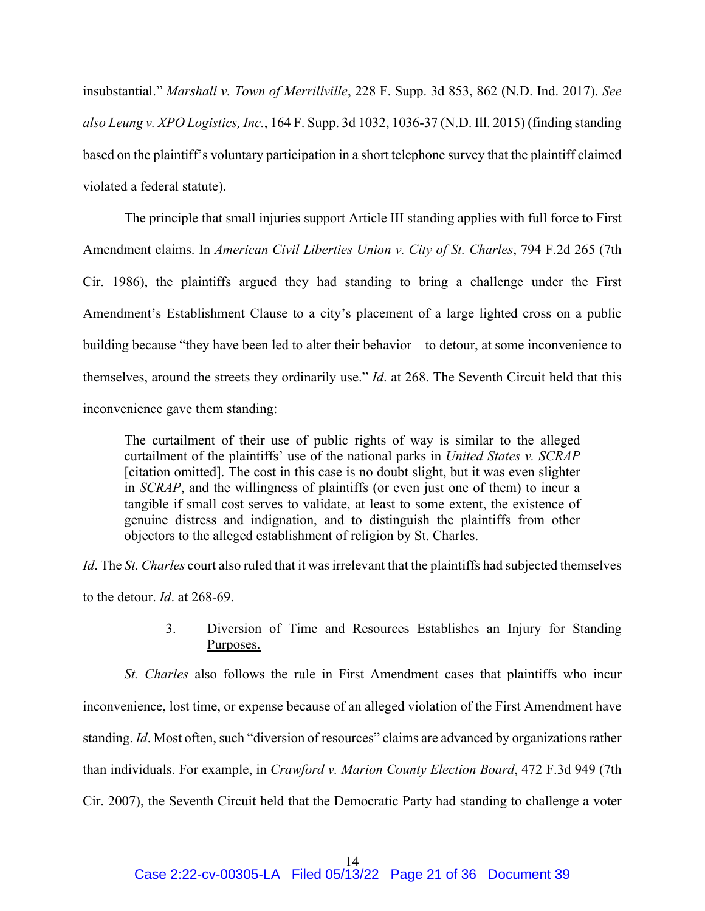insubstantial." *Marshall v. Town of Merrillville*, 228 F. Supp. 3d 853, 862 (N.D. Ind. 2017). *See also Leung v. XPO Logistics, Inc.*, 164 F. Supp. 3d 1032, 1036-37 (N.D. Ill. 2015) (finding standing based on the plaintiff's voluntary participation in a short telephone survey that the plaintiff claimed violated a federal statute).

The principle that small injuries support Article III standing applies with full force to First Amendment claims. In *American Civil Liberties Union v. City of St. Charles*, 794 F.2d 265 (7th Cir. 1986), the plaintiffs argued they had standing to bring a challenge under the First Amendment's Establishment Clause to a city's placement of a large lighted cross on a public building because "they have been led to alter their behavior—to detour, at some inconvenience to themselves, around the streets they ordinarily use." *Id*. at 268. The Seventh Circuit held that this inconvenience gave them standing:

The curtailment of their use of public rights of way is similar to the alleged curtailment of the plaintiffs' use of the national parks in *United States v. SCRAP* [citation omitted]. The cost in this case is no doubt slight, but it was even slighter in *SCRAP*, and the willingness of plaintiffs (or even just one of them) to incur a tangible if small cost serves to validate, at least to some extent, the existence of genuine distress and indignation, and to distinguish the plaintiffs from other objectors to the alleged establishment of religion by St. Charles.

*Id*. The *St. Charles* court also ruled that it was irrelevant that the plaintiffs had subjected themselves

to the detour. *Id*. at 268-69.

# 3. Diversion of Time and Resources Establishes an Injury for Standing Purposes.

*St. Charles* also follows the rule in First Amendment cases that plaintiffs who incur inconvenience, lost time, or expense because of an alleged violation of the First Amendment have standing. *Id*. Most often, such "diversion of resources" claims are advanced by organizations rather than individuals. For example, in *Crawford v. Marion County Election Board*, 472 F.3d 949 (7th Cir. 2007), the Seventh Circuit held that the Democratic Party had standing to challenge a voter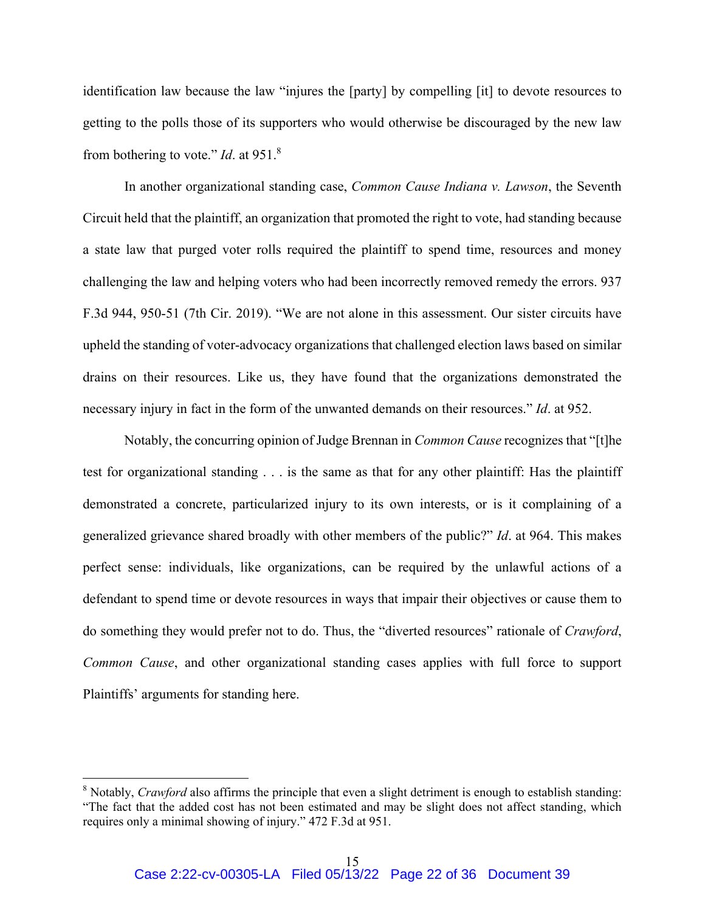identification law because the law "injures the [party] by compelling [it] to devote resources to getting to the polls those of its supporters who would otherwise be discouraged by the new law from bothering to vote." *Id*. at 951.8

In another organizational standing case, *Common Cause Indiana v. Lawson*, the Seventh Circuit held that the plaintiff, an organization that promoted the right to vote, had standing because a state law that purged voter rolls required the plaintiff to spend time, resources and money challenging the law and helping voters who had been incorrectly removed remedy the errors. 937 F.3d 944, 950-51 (7th Cir. 2019). "We are not alone in this assessment. Our sister circuits have upheld the standing of voter-advocacy organizations that challenged election laws based on similar drains on their resources. Like us, they have found that the organizations demonstrated the necessary injury in fact in the form of the unwanted demands on their resources." *Id*. at 952.

Notably, the concurring opinion of Judge Brennan in *Common Cause* recognizes that "[t]he test for organizational standing . . . is the same as that for any other plaintiff: Has the plaintiff demonstrated a concrete, particularized injury to its own interests, or is it complaining of a generalized grievance shared broadly with other members of the public?" *Id*. at 964. This makes perfect sense: individuals, like organizations, can be required by the unlawful actions of a defendant to spend time or devote resources in ways that impair their objectives or cause them to do something they would prefer not to do. Thus, the "diverted resources" rationale of *Crawford*, *Common Cause*, and other organizational standing cases applies with full force to support Plaintiffs' arguments for standing here.

<sup>&</sup>lt;sup>8</sup> Notably, *Crawford* also affirms the principle that even a slight detriment is enough to establish standing: "The fact that the added cost has not been estimated and may be slight does not affect standing, which requires only a minimal showing of injury." 472 F.3d at 951.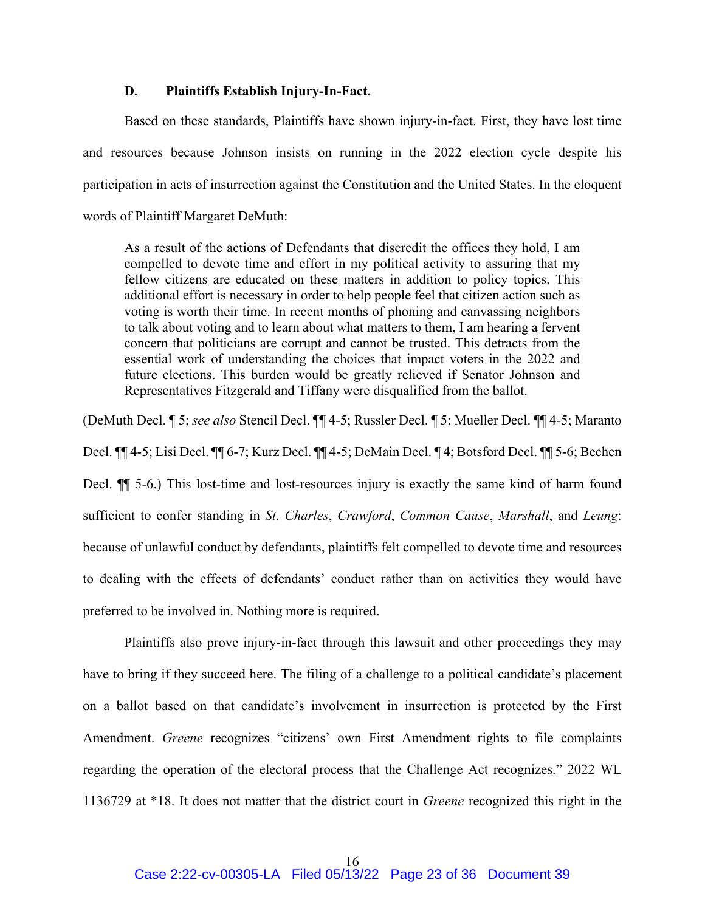#### **D. Plaintiffs Establish Injury-In-Fact.**

Based on these standards, Plaintiffs have shown injury-in-fact. First, they have lost time and resources because Johnson insists on running in the 2022 election cycle despite his participation in acts of insurrection against the Constitution and the United States. In the eloquent words of Plaintiff Margaret DeMuth:

As a result of the actions of Defendants that discredit the offices they hold, I am compelled to devote time and effort in my political activity to assuring that my fellow citizens are educated on these matters in addition to policy topics. This additional effort is necessary in order to help people feel that citizen action such as voting is worth their time. In recent months of phoning and canvassing neighbors to talk about voting and to learn about what matters to them, I am hearing a fervent concern that politicians are corrupt and cannot be trusted. This detracts from the essential work of understanding the choices that impact voters in the 2022 and future elections. This burden would be greatly relieved if Senator Johnson and Representatives Fitzgerald and Tiffany were disqualified from the ballot.

(DeMuth Decl. ¶ 5; *see also* Stencil Decl. ¶¶ 4-5; Russler Decl. ¶ 5; Mueller Decl. ¶¶ 4-5; Maranto Decl. ¶¶ 4-5; Lisi Decl. ¶¶ 6-7; Kurz Decl. ¶¶ 4-5; DeMain Decl. ¶ 4; Botsford Decl. ¶¶ 5-6; Bechen Decl.  $\P$  5-6.) This lost-time and lost-resources injury is exactly the same kind of harm found sufficient to confer standing in *St. Charles*, *Crawford*, *Common Cause*, *Marshall*, and *Leung*: because of unlawful conduct by defendants, plaintiffs felt compelled to devote time and resources to dealing with the effects of defendants' conduct rather than on activities they would have preferred to be involved in. Nothing more is required.

Plaintiffs also prove injury-in-fact through this lawsuit and other proceedings they may have to bring if they succeed here. The filing of a challenge to a political candidate's placement on a ballot based on that candidate's involvement in insurrection is protected by the First Amendment. *Greene* recognizes "citizens' own First Amendment rights to file complaints regarding the operation of the electoral process that the Challenge Act recognizes." 2022 WL 1136729 at \*18. It does not matter that the district court in *Greene* recognized this right in the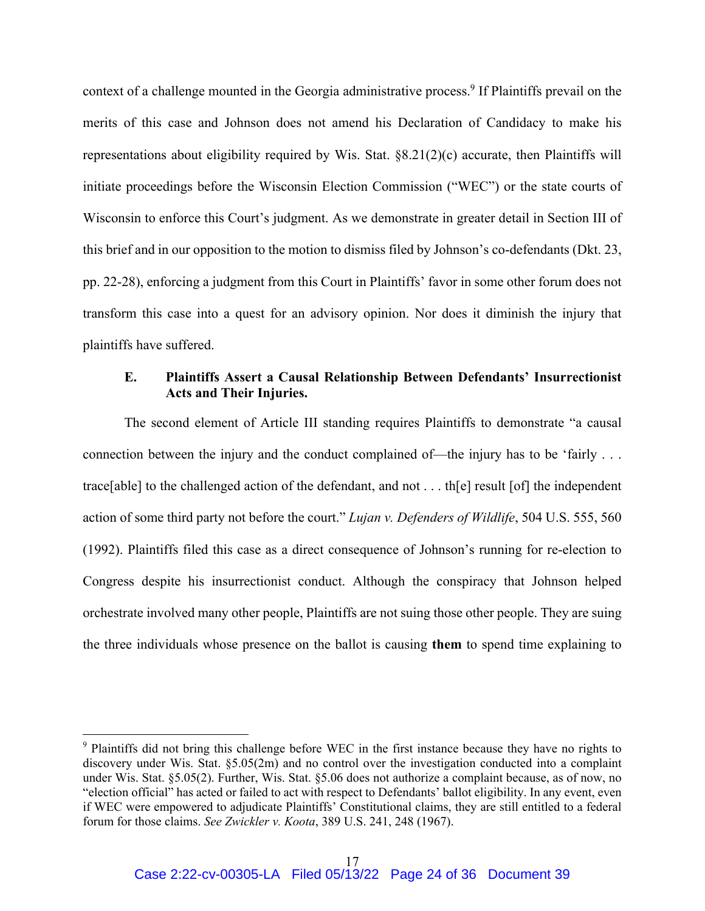context of a challenge mounted in the Georgia administrative process.<sup>9</sup> If Plaintiffs prevail on the merits of this case and Johnson does not amend his Declaration of Candidacy to make his representations about eligibility required by Wis. Stat. §8.21(2)(c) accurate, then Plaintiffs will initiate proceedings before the Wisconsin Election Commission ("WEC") or the state courts of Wisconsin to enforce this Court's judgment. As we demonstrate in greater detail in Section III of this brief and in our opposition to the motion to dismiss filed by Johnson's co-defendants (Dkt. 23, pp. 22-28), enforcing a judgment from this Court in Plaintiffs' favor in some other forum does not transform this case into a quest for an advisory opinion. Nor does it diminish the injury that plaintiffs have suffered.

### **E. Plaintiffs Assert a Causal Relationship Between Defendants' Insurrectionist Acts and Their Injuries.**

The second element of Article III standing requires Plaintiffs to demonstrate "a causal connection between the injury and the conduct complained of—the injury has to be 'fairly . . . trace[able] to the challenged action of the defendant, and not . . . th[e] result [of] the independent action of some third party not before the court." *Lujan v. Defenders of Wildlife*, 504 U.S. 555, 560 (1992). Plaintiffs filed this case as a direct consequence of Johnson's running for re-election to Congress despite his insurrectionist conduct. Although the conspiracy that Johnson helped orchestrate involved many other people, Plaintiffs are not suing those other people. They are suing the three individuals whose presence on the ballot is causing **them** to spend time explaining to

<sup>&</sup>lt;sup>9</sup> Plaintiffs did not bring this challenge before WEC in the first instance because they have no rights to discovery under Wis. Stat. §5.05(2m) and no control over the investigation conducted into a complaint under Wis. Stat. §5.05(2). Further, Wis. Stat. §5.06 does not authorize a complaint because, as of now, no "election official" has acted or failed to act with respect to Defendants' ballot eligibility. In any event, even if WEC were empowered to adjudicate Plaintiffs' Constitutional claims, they are still entitled to a federal forum for those claims. *See Zwickler v. Koota*, 389 U.S. 241, 248 (1967).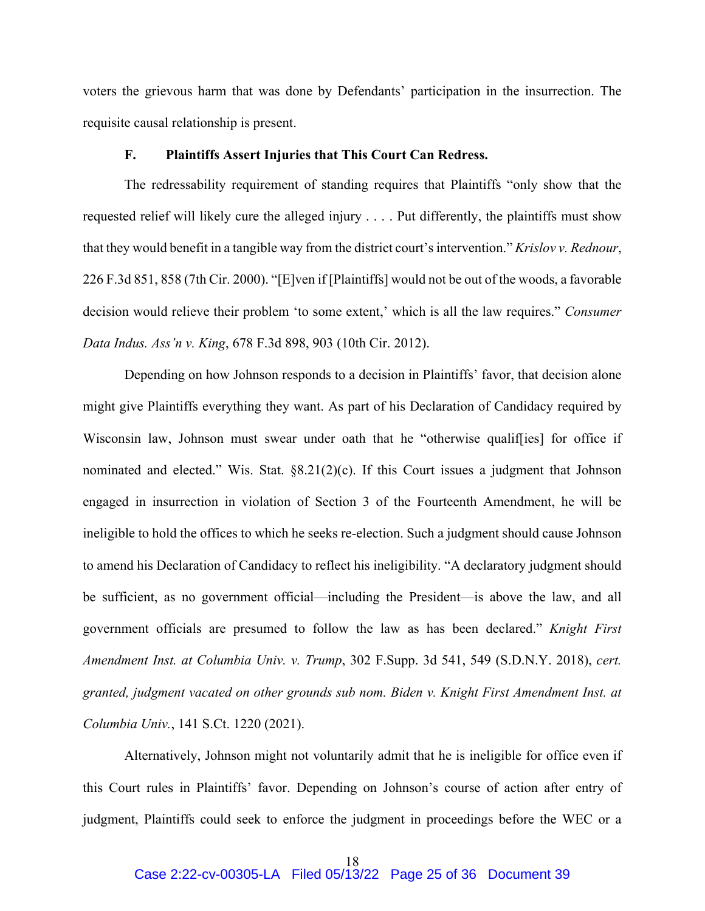voters the grievous harm that was done by Defendants' participation in the insurrection. The requisite causal relationship is present.

#### **F. Plaintiffs Assert Injuries that This Court Can Redress.**

The redressability requirement of standing requires that Plaintiffs "only show that the requested relief will likely cure the alleged injury . . . . Put differently, the plaintiffs must show that they would benefit in a tangible way from the district court's intervention." *Krislov v. Rednour*, 226 F.3d 851, 858 (7th Cir. 2000). "[E]ven if [Plaintiffs] would not be out of the woods, a favorable decision would relieve their problem 'to some extent,' which is all the law requires." *Consumer Data Indus. Ass'n v. King*, 678 F.3d 898, 903 (10th Cir. 2012).

Depending on how Johnson responds to a decision in Plaintiffs' favor, that decision alone might give Plaintiffs everything they want. As part of his Declaration of Candidacy required by Wisconsin law, Johnson must swear under oath that he "otherwise qualif[ies] for office if nominated and elected." Wis. Stat. §8.21(2)(c). If this Court issues a judgment that Johnson engaged in insurrection in violation of Section 3 of the Fourteenth Amendment, he will be ineligible to hold the offices to which he seeks re-election. Such a judgment should cause Johnson to amend his Declaration of Candidacy to reflect his ineligibility. "A declaratory judgment should be sufficient, as no government official—including the President—is above the law, and all government officials are presumed to follow the law as has been declared." *Knight First Amendment Inst. at Columbia Univ. v. Trump*, 302 F.Supp. 3d 541, 549 (S.D.N.Y. 2018), *cert. granted, judgment vacated on other grounds sub nom. Biden v. Knight First Amendment Inst. at Columbia Univ.*, 141 S.Ct. 1220 (2021).

Alternatively, Johnson might not voluntarily admit that he is ineligible for office even if this Court rules in Plaintiffs' favor. Depending on Johnson's course of action after entry of judgment, Plaintiffs could seek to enforce the judgment in proceedings before the WEC or a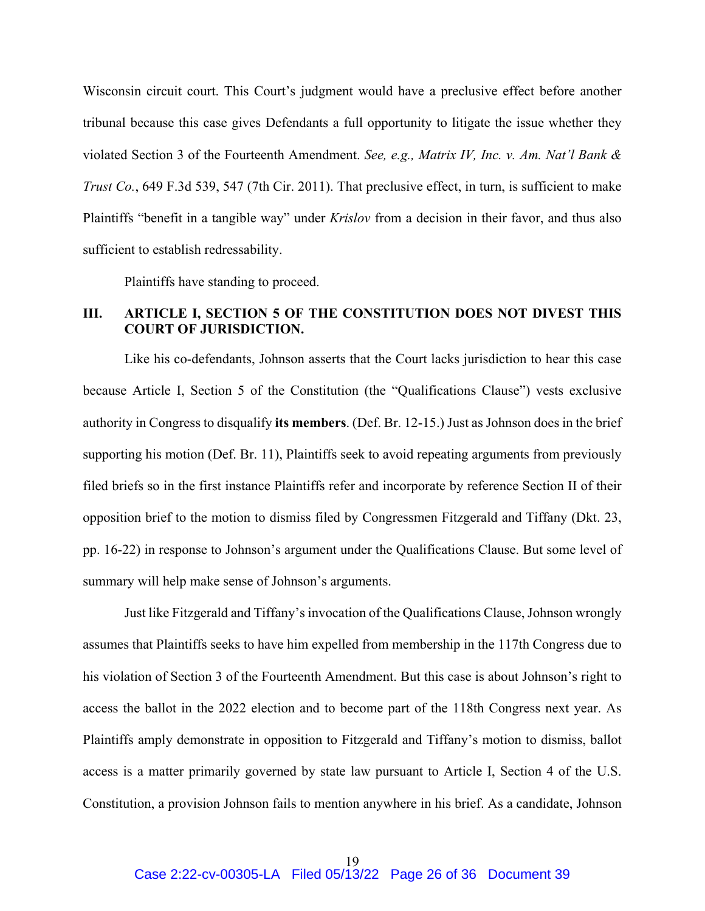Wisconsin circuit court. This Court's judgment would have a preclusive effect before another tribunal because this case gives Defendants a full opportunity to litigate the issue whether they violated Section 3 of the Fourteenth Amendment. *See, e.g., Matrix IV, Inc. v. Am. Nat'l Bank & Trust Co.*, 649 F.3d 539, 547 (7th Cir. 2011). That preclusive effect, in turn, is sufficient to make Plaintiffs "benefit in a tangible way" under *Krislov* from a decision in their favor, and thus also sufficient to establish redressability.

Plaintiffs have standing to proceed.

### **III. ARTICLE I, SECTION 5 OF THE CONSTITUTION DOES NOT DIVEST THIS COURT OF JURISDICTION.**

Like his co-defendants, Johnson asserts that the Court lacks jurisdiction to hear this case because Article I, Section 5 of the Constitution (the "Qualifications Clause") vests exclusive authority in Congress to disqualify **its members**. (Def. Br. 12-15.) Just as Johnson does in the brief supporting his motion (Def. Br. 11), Plaintiffs seek to avoid repeating arguments from previously filed briefs so in the first instance Plaintiffs refer and incorporate by reference Section II of their opposition brief to the motion to dismiss filed by Congressmen Fitzgerald and Tiffany (Dkt. 23, pp. 16-22) in response to Johnson's argument under the Qualifications Clause. But some level of summary will help make sense of Johnson's arguments.

Just like Fitzgerald and Tiffany's invocation of the Qualifications Clause, Johnson wrongly assumes that Plaintiffs seeks to have him expelled from membership in the 117th Congress due to his violation of Section 3 of the Fourteenth Amendment. But this case is about Johnson's right to access the ballot in the 2022 election and to become part of the 118th Congress next year. As Plaintiffs amply demonstrate in opposition to Fitzgerald and Tiffany's motion to dismiss, ballot access is a matter primarily governed by state law pursuant to Article I, Section 4 of the U.S. Constitution, a provision Johnson fails to mention anywhere in his brief. As a candidate, Johnson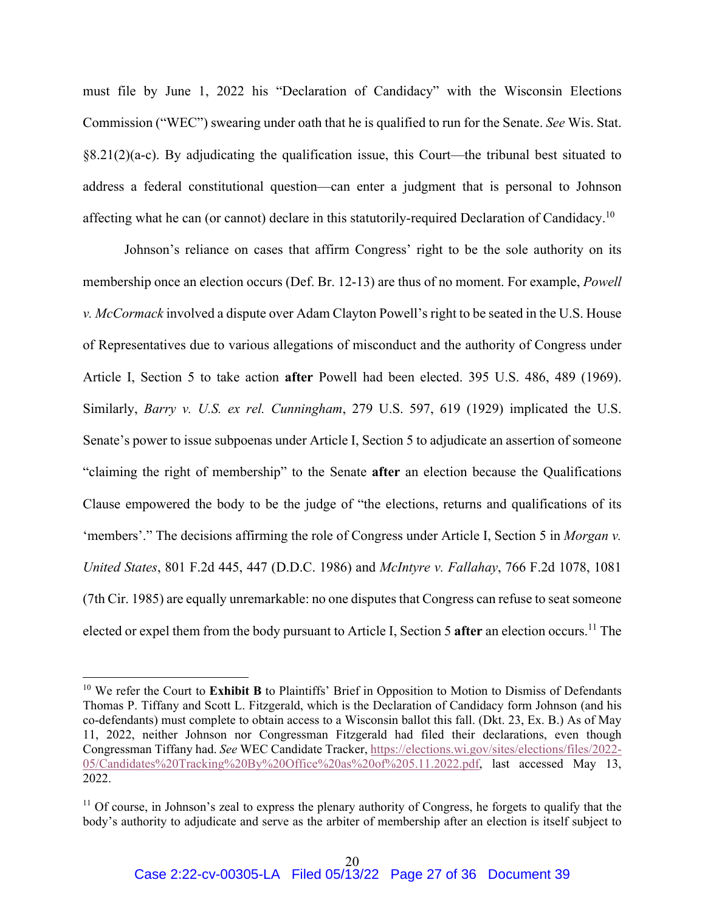must file by June 1, 2022 his "Declaration of Candidacy" with the Wisconsin Elections Commission ("WEC") swearing under oath that he is qualified to run for the Senate. *See* Wis. Stat. §8.21(2)(a-c). By adjudicating the qualification issue, this Court—the tribunal best situated to address a federal constitutional question—can enter a judgment that is personal to Johnson affecting what he can (or cannot) declare in this statutorily-required Declaration of Candidacy.<sup>10</sup>

Johnson's reliance on cases that affirm Congress' right to be the sole authority on its membership once an election occurs (Def. Br. 12-13) are thus of no moment. For example, *Powell v. McCormack* involved a dispute over Adam Clayton Powell's right to be seated in the U.S. House of Representatives due to various allegations of misconduct and the authority of Congress under Article I, Section 5 to take action **after** Powell had been elected. 395 U.S. 486, 489 (1969). Similarly, *Barry v. U.S. ex rel. Cunningham*, 279 U.S. 597, 619 (1929) implicated the U.S. Senate's power to issue subpoenas under Article I, Section 5 to adjudicate an assertion of someone "claiming the right of membership" to the Senate **after** an election because the Qualifications Clause empowered the body to be the judge of "the elections, returns and qualifications of its 'members'." The decisions affirming the role of Congress under Article I, Section 5 in *Morgan v. United States*, 801 F.2d 445, 447 (D.D.C. 1986) and *McIntyre v. Fallahay*, 766 F.2d 1078, 1081 (7th Cir. 1985) are equally unremarkable: no one disputes that Congress can refuse to seat someone elected or expel them from the body pursuant to Article I, Section 5 **after** an election occurs.11 The

<sup>&</sup>lt;sup>10</sup> We refer the Court to **Exhibit B** to Plaintiffs' Brief in Opposition to Motion to Dismiss of Defendants Thomas P. Tiffany and Scott L. Fitzgerald, which is the Declaration of Candidacy form Johnson (and his co-defendants) must complete to obtain access to a Wisconsin ballot this fall. (Dkt. 23, Ex. B.) As of May 11, 2022, neither Johnson nor Congressman Fitzgerald had filed their declarations, even though Congressman Tiffany had. *See* WEC Candidate Tracker, https://elections.wi.gov/sites/elections/files/2022- 05/Candidates%20Tracking%20By%20Office%20as%20of%205.11.2022.pdf, last accessed May 13, 2022.

<sup>&</sup>lt;sup>11</sup> Of course, in Johnson's zeal to express the plenary authority of Congress, he forgets to qualify that the body's authority to adjudicate and serve as the arbiter of membership after an election is itself subject to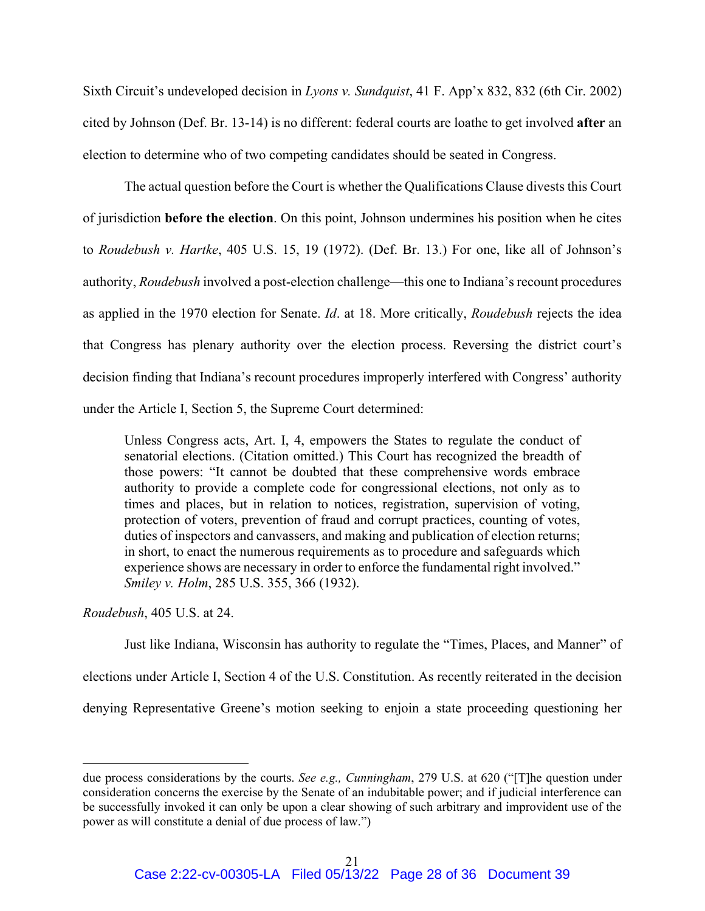Sixth Circuit's undeveloped decision in *Lyons v. Sundquist*, 41 F. App'x 832, 832 (6th Cir. 2002) cited by Johnson (Def. Br. 13-14) is no different: federal courts are loathe to get involved **after** an election to determine who of two competing candidates should be seated in Congress.

The actual question before the Court is whether the Qualifications Clause divests this Court of jurisdiction **before the election**. On this point, Johnson undermines his position when he cites to *Roudebush v. Hartke*, 405 U.S. 15, 19 (1972). (Def. Br. 13.) For one, like all of Johnson's authority, *Roudebush* involved a post-election challenge—this one to Indiana's recount procedures as applied in the 1970 election for Senate. *Id*. at 18. More critically, *Roudebush* rejects the idea that Congress has plenary authority over the election process. Reversing the district court's decision finding that Indiana's recount procedures improperly interfered with Congress' authority under the Article I, Section 5, the Supreme Court determined:

Unless Congress acts, Art. I, 4, empowers the States to regulate the conduct of senatorial elections. (Citation omitted.) This Court has recognized the breadth of those powers: "It cannot be doubted that these comprehensive words embrace authority to provide a complete code for congressional elections, not only as to times and places, but in relation to notices, registration, supervision of voting, protection of voters, prevention of fraud and corrupt practices, counting of votes, duties of inspectors and canvassers, and making and publication of election returns; in short, to enact the numerous requirements as to procedure and safeguards which experience shows are necessary in order to enforce the fundamental right involved." *Smiley v. Holm*, 285 U.S. 355, 366 (1932).

*Roudebush*, 405 U.S. at 24.

Just like Indiana, Wisconsin has authority to regulate the "Times, Places, and Manner" of elections under Article I, Section 4 of the U.S. Constitution. As recently reiterated in the decision denying Representative Greene's motion seeking to enjoin a state proceeding questioning her

due process considerations by the courts. *See e.g., Cunningham*, 279 U.S. at 620 ("[T]he question under consideration concerns the exercise by the Senate of an indubitable power; and if judicial interference can be successfully invoked it can only be upon a clear showing of such arbitrary and improvident use of the power as will constitute a denial of due process of law.")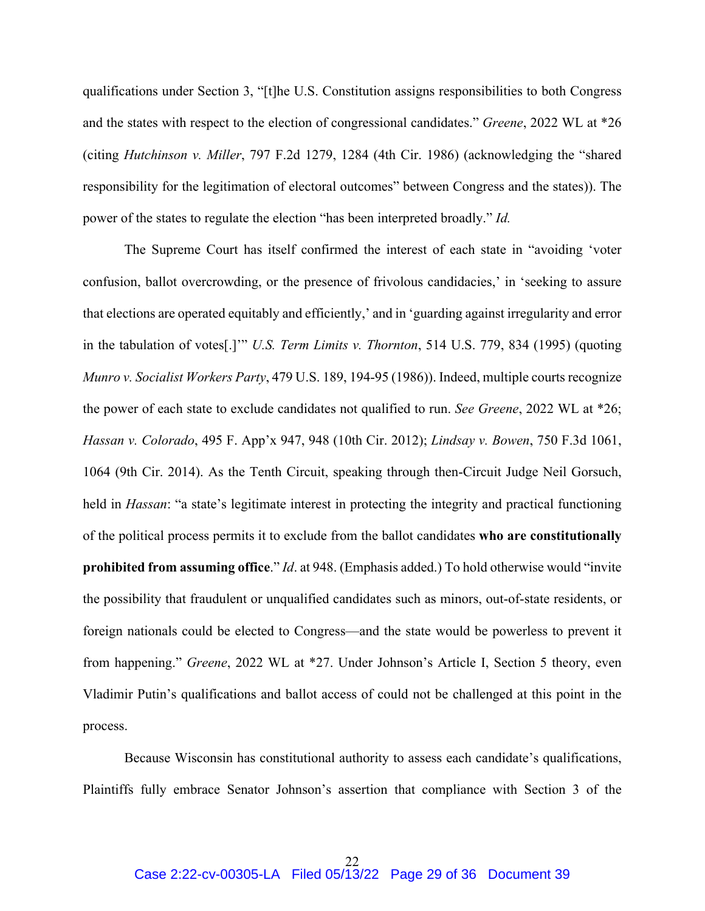qualifications under Section 3, "[t]he U.S. Constitution assigns responsibilities to both Congress and the states with respect to the election of congressional candidates." *Greene*, 2022 WL at \*26 (citing *Hutchinson v. Miller*, 797 F.2d 1279, 1284 (4th Cir. 1986) (acknowledging the "shared responsibility for the legitimation of electoral outcomes" between Congress and the states)). The power of the states to regulate the election "has been interpreted broadly." *Id.*

The Supreme Court has itself confirmed the interest of each state in "avoiding 'voter confusion, ballot overcrowding, or the presence of frivolous candidacies,' in 'seeking to assure that elections are operated equitably and efficiently,' and in 'guarding against irregularity and error in the tabulation of votes[.]'" *U.S. Term Limits v. Thornton*, 514 U.S. 779, 834 (1995) (quoting *Munro v. Socialist Workers Party*, 479 U.S. 189, 194-95 (1986)). Indeed, multiple courts recognize the power of each state to exclude candidates not qualified to run. *See Greene*, 2022 WL at \*26; *Hassan v. Colorado*, 495 F. App'x 947, 948 (10th Cir. 2012); *Lindsay v. Bowen*, 750 F.3d 1061, 1064 (9th Cir. 2014). As the Tenth Circuit, speaking through then-Circuit Judge Neil Gorsuch, held in *Hassan*: "a state's legitimate interest in protecting the integrity and practical functioning of the political process permits it to exclude from the ballot candidates **who are constitutionally prohibited from assuming office**." *Id*. at 948. (Emphasis added.) To hold otherwise would "invite the possibility that fraudulent or unqualified candidates such as minors, out-of-state residents, or foreign nationals could be elected to Congress—and the state would be powerless to prevent it from happening." *Greene*, 2022 WL at \*27. Under Johnson's Article I, Section 5 theory, even Vladimir Putin's qualifications and ballot access of could not be challenged at this point in the process.

Because Wisconsin has constitutional authority to assess each candidate's qualifications, Plaintiffs fully embrace Senator Johnson's assertion that compliance with Section 3 of the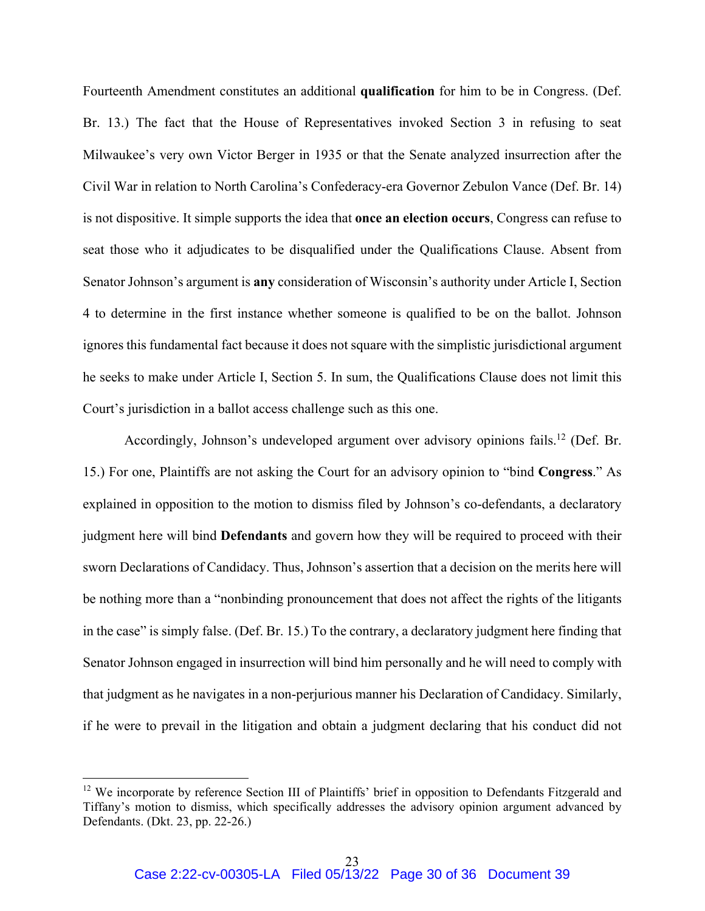Fourteenth Amendment constitutes an additional **qualification** for him to be in Congress. (Def. Br. 13.) The fact that the House of Representatives invoked Section 3 in refusing to seat Milwaukee's very own Victor Berger in 1935 or that the Senate analyzed insurrection after the Civil War in relation to North Carolina's Confederacy-era Governor Zebulon Vance (Def. Br. 14) is not dispositive. It simple supports the idea that **once an election occurs**, Congress can refuse to seat those who it adjudicates to be disqualified under the Qualifications Clause. Absent from Senator Johnson's argument is **any** consideration of Wisconsin's authority under Article I, Section 4 to determine in the first instance whether someone is qualified to be on the ballot. Johnson ignores this fundamental fact because it does not square with the simplistic jurisdictional argument he seeks to make under Article I, Section 5. In sum, the Qualifications Clause does not limit this Court's jurisdiction in a ballot access challenge such as this one.

Accordingly, Johnson's undeveloped argument over advisory opinions fails.<sup>12</sup> (Def. Br. 15.) For one, Plaintiffs are not asking the Court for an advisory opinion to "bind **Congress**." As explained in opposition to the motion to dismiss filed by Johnson's co-defendants, a declaratory judgment here will bind **Defendants** and govern how they will be required to proceed with their sworn Declarations of Candidacy. Thus, Johnson's assertion that a decision on the merits here will be nothing more than a "nonbinding pronouncement that does not affect the rights of the litigants in the case" is simply false. (Def. Br. 15.) To the contrary, a declaratory judgment here finding that Senator Johnson engaged in insurrection will bind him personally and he will need to comply with that judgment as he navigates in a non-perjurious manner his Declaration of Candidacy. Similarly, if he were to prevail in the litigation and obtain a judgment declaring that his conduct did not

<sup>&</sup>lt;sup>12</sup> We incorporate by reference Section III of Plaintiffs' brief in opposition to Defendants Fitzgerald and Tiffany's motion to dismiss, which specifically addresses the advisory opinion argument advanced by Defendants. (Dkt. 23, pp. 22-26.)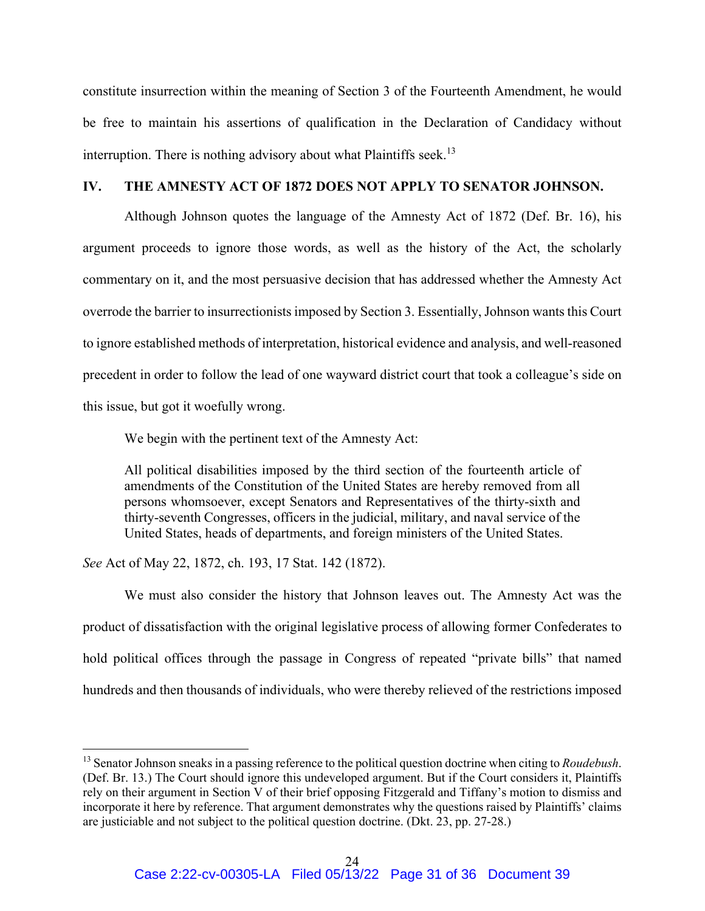constitute insurrection within the meaning of Section 3 of the Fourteenth Amendment, he would be free to maintain his assertions of qualification in the Declaration of Candidacy without interruption. There is nothing advisory about what Plaintiffs seek.<sup>13</sup>

### **IV. THE AMNESTY ACT OF 1872 DOES NOT APPLY TO SENATOR JOHNSON.**

Although Johnson quotes the language of the Amnesty Act of 1872 (Def. Br. 16), his argument proceeds to ignore those words, as well as the history of the Act, the scholarly commentary on it, and the most persuasive decision that has addressed whether the Amnesty Act overrode the barrier to insurrectionists imposed by Section 3. Essentially, Johnson wants this Court to ignore established methods of interpretation, historical evidence and analysis, and well-reasoned precedent in order to follow the lead of one wayward district court that took a colleague's side on this issue, but got it woefully wrong.

We begin with the pertinent text of the Amnesty Act:

All political disabilities imposed by the third section of the fourteenth article of amendments of the Constitution of the United States are hereby removed from all persons whomsoever, except Senators and Representatives of the thirty-sixth and thirty-seventh Congresses, officers in the judicial, military, and naval service of the United States, heads of departments, and foreign ministers of the United States.

*See* Act of May 22, 1872, ch. 193, 17 Stat. 142 (1872).

We must also consider the history that Johnson leaves out. The Amnesty Act was the product of dissatisfaction with the original legislative process of allowing former Confederates to hold political offices through the passage in Congress of repeated "private bills" that named hundreds and then thousands of individuals, who were thereby relieved of the restrictions imposed

<sup>13</sup> Senator Johnson sneaks in a passing reference to the political question doctrine when citing to *Roudebush*. (Def. Br. 13.) The Court should ignore this undeveloped argument. But if the Court considers it, Plaintiffs rely on their argument in Section V of their brief opposing Fitzgerald and Tiffany's motion to dismiss and incorporate it here by reference. That argument demonstrates why the questions raised by Plaintiffs' claims are justiciable and not subject to the political question doctrine. (Dkt. 23, pp. 27-28.)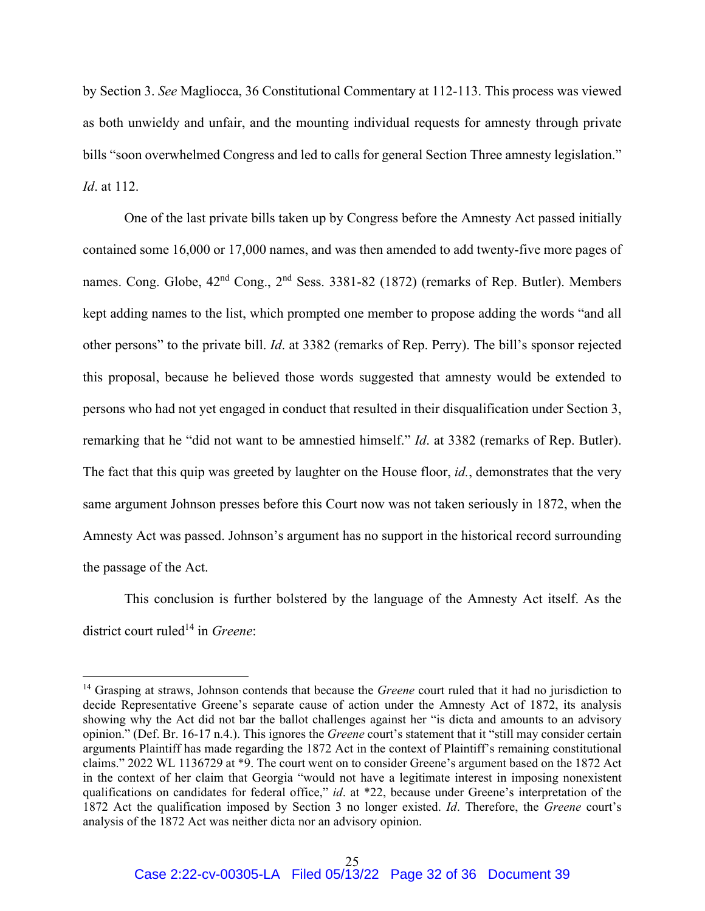by Section 3. *See* Magliocca, 36 Constitutional Commentary at 112-113. This process was viewed as both unwieldy and unfair, and the mounting individual requests for amnesty through private bills "soon overwhelmed Congress and led to calls for general Section Three amnesty legislation." *Id*. at 112.

One of the last private bills taken up by Congress before the Amnesty Act passed initially contained some 16,000 or 17,000 names, and was then amended to add twenty-five more pages of names. Cong. Globe,  $42<sup>nd</sup>$  Cong.,  $2<sup>nd</sup>$  Sess. 3381-82 (1872) (remarks of Rep. Butler). Members kept adding names to the list, which prompted one member to propose adding the words "and all other persons" to the private bill. *Id*. at 3382 (remarks of Rep. Perry). The bill's sponsor rejected this proposal, because he believed those words suggested that amnesty would be extended to persons who had not yet engaged in conduct that resulted in their disqualification under Section 3, remarking that he "did not want to be amnestied himself." *Id*. at 3382 (remarks of Rep. Butler). The fact that this quip was greeted by laughter on the House floor, *id.*, demonstrates that the very same argument Johnson presses before this Court now was not taken seriously in 1872, when the Amnesty Act was passed. Johnson's argument has no support in the historical record surrounding the passage of the Act.

This conclusion is further bolstered by the language of the Amnesty Act itself. As the district court ruled<sup>14</sup> in *Greene*:

<sup>&</sup>lt;sup>14</sup> Grasping at straws, Johnson contends that because the *Greene* court ruled that it had no jurisdiction to decide Representative Greene's separate cause of action under the Amnesty Act of 1872, its analysis showing why the Act did not bar the ballot challenges against her "is dicta and amounts to an advisory opinion." (Def. Br. 16-17 n.4.). This ignores the *Greene* court's statement that it "still may consider certain arguments Plaintiff has made regarding the 1872 Act in the context of Plaintiff's remaining constitutional claims." 2022 WL 1136729 at \*9. The court went on to consider Greene's argument based on the 1872 Act in the context of her claim that Georgia "would not have a legitimate interest in imposing nonexistent qualifications on candidates for federal office," *id*. at \*22, because under Greene's interpretation of the 1872 Act the qualification imposed by Section 3 no longer existed. *Id*. Therefore, the *Greene* court's analysis of the 1872 Act was neither dicta nor an advisory opinion.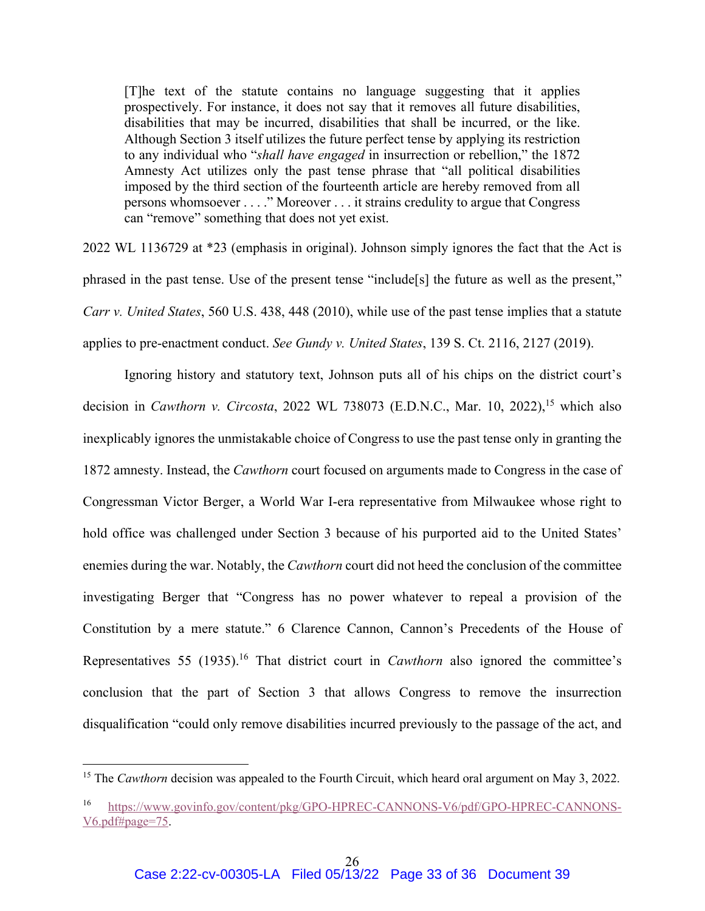[T]he text of the statute contains no language suggesting that it applies prospectively. For instance, it does not say that it removes all future disabilities, disabilities that may be incurred, disabilities that shall be incurred, or the like. Although Section 3 itself utilizes the future perfect tense by applying its restriction to any individual who "*shall have engaged* in insurrection or rebellion," the 1872 Amnesty Act utilizes only the past tense phrase that "all political disabilities imposed by the third section of the fourteenth article are hereby removed from all persons whomsoever . . . ." Moreover . . . it strains credulity to argue that Congress can "remove" something that does not yet exist.

2022 WL 1136729 at \*23 (emphasis in original). Johnson simply ignores the fact that the Act is phrased in the past tense. Use of the present tense "include[s] the future as well as the present," *Carr v. United States*, 560 U.S. 438, 448 (2010), while use of the past tense implies that a statute applies to pre-enactment conduct. *See Gundy v. United States*, 139 S. Ct. 2116, 2127 (2019).

Ignoring history and statutory text, Johnson puts all of his chips on the district court's decision in *Cawthorn v. Circosta*, 2022 WL 738073 (E.D.N.C., Mar. 10, 2022),<sup>15</sup> which also inexplicably ignores the unmistakable choice of Congress to use the past tense only in granting the 1872 amnesty. Instead, the *Cawthorn* court focused on arguments made to Congress in the case of Congressman Victor Berger, a World War I-era representative from Milwaukee whose right to hold office was challenged under Section 3 because of his purported aid to the United States' enemies during the war. Notably, the *Cawthorn* court did not heed the conclusion of the committee investigating Berger that "Congress has no power whatever to repeal a provision of the Constitution by a mere statute." 6 Clarence Cannon, Cannon's Precedents of the House of Representatives 55 (1935).16 That district court in *Cawthorn* also ignored the committee's conclusion that the part of Section 3 that allows Congress to remove the insurrection disqualification "could only remove disabilities incurred previously to the passage of the act, and

<sup>&</sup>lt;sup>15</sup> The *Cawthorn* decision was appealed to the Fourth Circuit, which heard oral argument on May 3, 2022.

<sup>16</sup> https://www.govinfo.gov/content/pkg/GPO-HPREC-CANNONS-V6/pdf/GPO-HPREC-CANNONS-V6.pdf#page=75.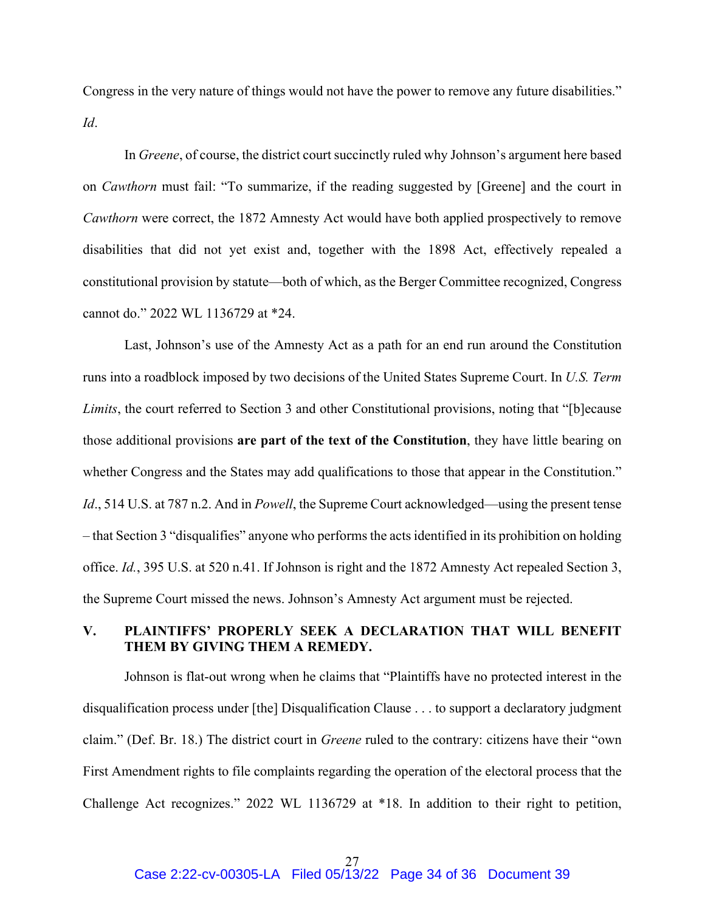Congress in the very nature of things would not have the power to remove any future disabilities." *Id*.

In *Greene*, of course, the district court succinctly ruled why Johnson's argument here based on *Cawthorn* must fail: "To summarize, if the reading suggested by [Greene] and the court in *Cawthorn* were correct, the 1872 Amnesty Act would have both applied prospectively to remove disabilities that did not yet exist and, together with the 1898 Act, effectively repealed a constitutional provision by statute—both of which, as the Berger Committee recognized, Congress cannot do." 2022 WL 1136729 at \*24.

Last, Johnson's use of the Amnesty Act as a path for an end run around the Constitution runs into a roadblock imposed by two decisions of the United States Supreme Court. In *U.S. Term Limits*, the court referred to Section 3 and other Constitutional provisions, noting that "[b]ecause those additional provisions **are part of the text of the Constitution**, they have little bearing on whether Congress and the States may add qualifications to those that appear in the Constitution." *Id*., 514 U.S. at 787 n.2. And in *Powell*, the Supreme Court acknowledged—using the present tense – that Section 3 "disqualifies" anyone who performs the acts identified in its prohibition on holding office. *Id.*, 395 U.S. at 520 n.41. If Johnson is right and the 1872 Amnesty Act repealed Section 3, the Supreme Court missed the news. Johnson's Amnesty Act argument must be rejected.

# **V. PLAINTIFFS' PROPERLY SEEK A DECLARATION THAT WILL BENEFIT THEM BY GIVING THEM A REMEDY.**

Johnson is flat-out wrong when he claims that "Plaintiffs have no protected interest in the disqualification process under [the] Disqualification Clause . . . to support a declaratory judgment claim." (Def. Br. 18.) The district court in *Greene* ruled to the contrary: citizens have their "own First Amendment rights to file complaints regarding the operation of the electoral process that the Challenge Act recognizes." 2022 WL 1136729 at \*18. In addition to their right to petition,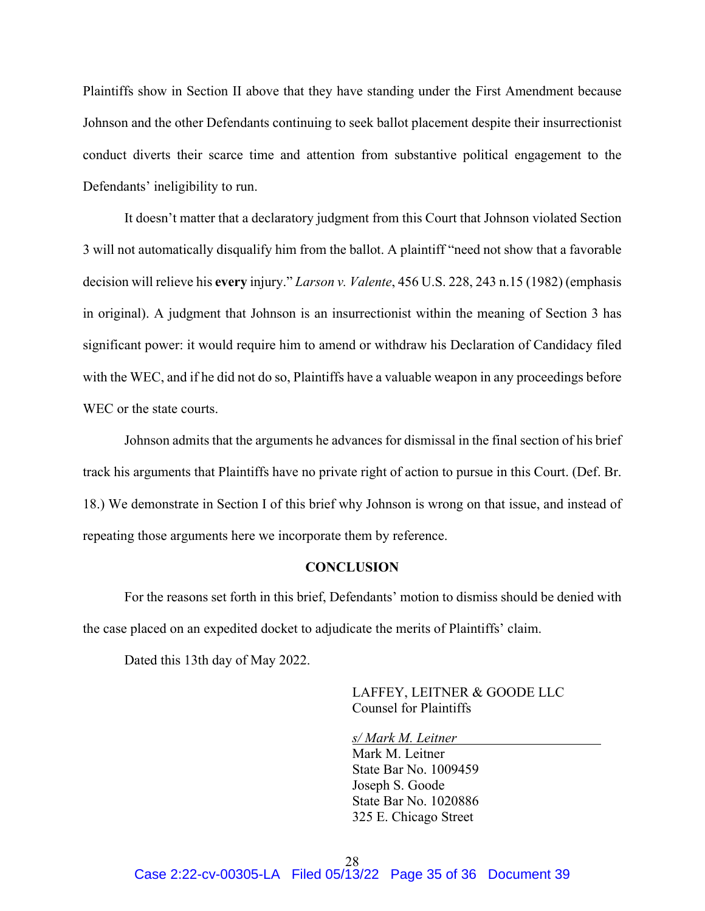Plaintiffs show in Section II above that they have standing under the First Amendment because Johnson and the other Defendants continuing to seek ballot placement despite their insurrectionist conduct diverts their scarce time and attention from substantive political engagement to the Defendants' ineligibility to run.

It doesn't matter that a declaratory judgment from this Court that Johnson violated Section 3 will not automatically disqualify him from the ballot. A plaintiff "need not show that a favorable decision will relieve his **every** injury." *Larson v. Valente*, 456 U.S. 228, 243 n.15 (1982) (emphasis in original). A judgment that Johnson is an insurrectionist within the meaning of Section 3 has significant power: it would require him to amend or withdraw his Declaration of Candidacy filed with the WEC, and if he did not do so, Plaintiffs have a valuable weapon in any proceedings before WEC or the state courts.

Johnson admits that the arguments he advances for dismissal in the final section of his brief track his arguments that Plaintiffs have no private right of action to pursue in this Court. (Def. Br. 18.) We demonstrate in Section I of this brief why Johnson is wrong on that issue, and instead of repeating those arguments here we incorporate them by reference.

#### **CONCLUSION**

For the reasons set forth in this brief, Defendants' motion to dismiss should be denied with the case placed on an expedited docket to adjudicate the merits of Plaintiffs' claim.

Dated this 13th day of May 2022.

 LAFFEY, LEITNER & GOODE LLC Counsel for Plaintiffs

*s/ Mark M. Leitner* 

 Mark M. Leitner State Bar No. 1009459 Joseph S. Goode State Bar No. 1020886 325 E. Chicago Street